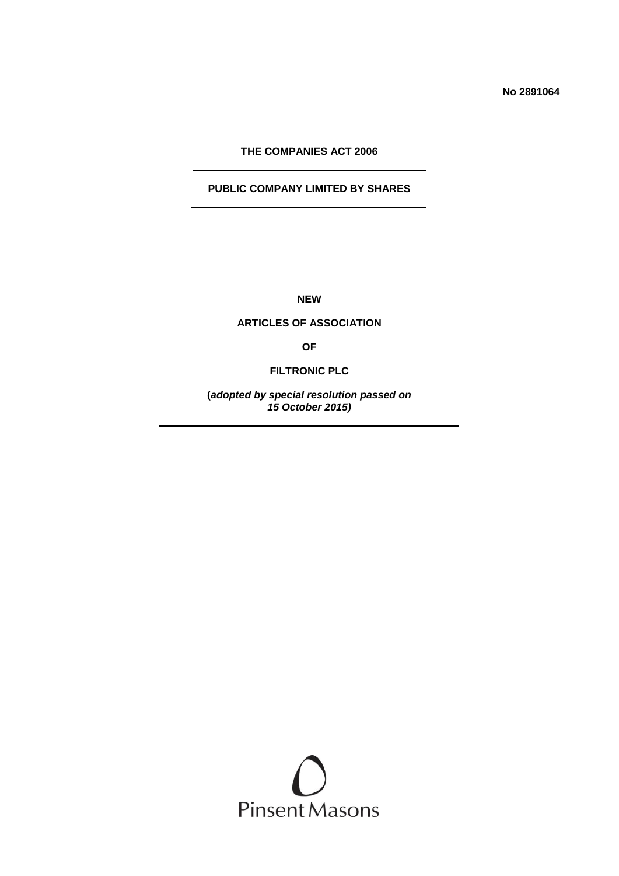**No 2891064**

# **THE COMPANIES ACT 2006**

# **PUBLIC COMPANY LIMITED BY SHARES**

**NEW**

# **ARTICLES OF ASSOCIATION**

**OF**

**FILTRONIC PLC**

**(***adopted by special resolution passed on 15 October 2015)*

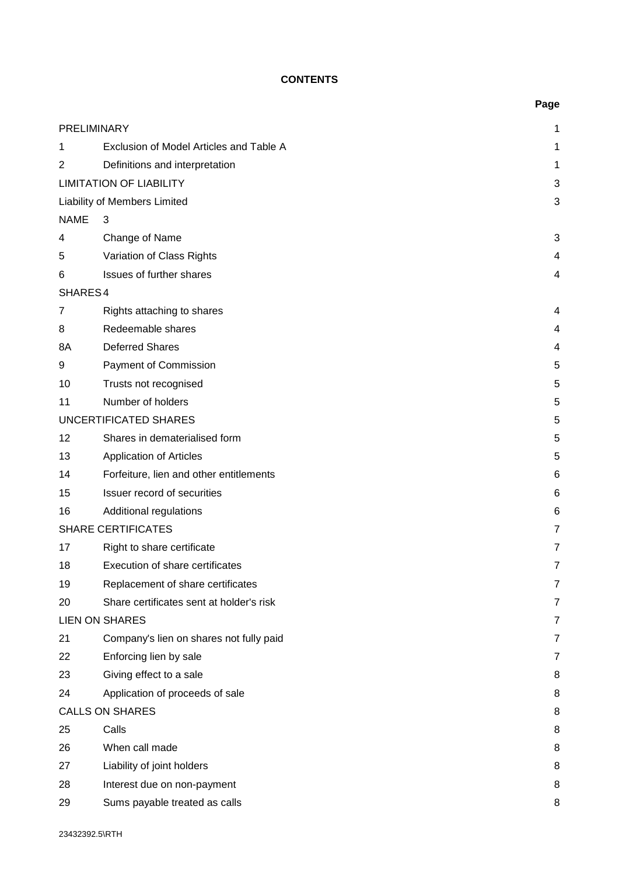# **CONTENTS**

|             |                                          | Page           |
|-------------|------------------------------------------|----------------|
| PRELIMINARY |                                          | 1              |
| 1           | Exclusion of Model Articles and Table A  | 1              |
| 2           | Definitions and interpretation           | 1              |
|             | <b>LIMITATION OF LIABILITY</b>           | 3              |
|             | Liability of Members Limited             | 3              |
| <b>NAME</b> | 3                                        |                |
| 4           | Change of Name                           | 3              |
| 5           | Variation of Class Rights                | 4              |
| 6           | Issues of further shares                 | 4              |
| SHARES4     |                                          |                |
| 7           | Rights attaching to shares               | 4              |
| 8           | Redeemable shares                        | 4              |
| 8A          | <b>Deferred Shares</b>                   | 4              |
| 9           | Payment of Commission                    | 5              |
| 10          | Trusts not recognised                    | 5              |
| 11          | Number of holders                        | 5              |
|             | UNCERTIFICATED SHARES                    | 5              |
| 12          | Shares in dematerialised form            | 5              |
| 13          | <b>Application of Articles</b>           | 5              |
| 14          | Forfeiture, lien and other entitlements  | 6              |
| 15          | Issuer record of securities              | 6              |
| 16          | Additional regulations                   | 6              |
|             | <b>SHARE CERTIFICATES</b>                | 7              |
| 17          | Right to share certificate               | 7              |
| 18          | Execution of share certificates          | 7              |
| 19          | Replacement of share certificates        | 7              |
| 20          | Share certificates sent at holder's risk | $\overline{7}$ |
|             | <b>LIEN ON SHARES</b>                    | 7              |
| 21          | Company's lien on shares not fully paid  | 7              |
| 22          | Enforcing lien by sale                   | 7              |
| 23          | Giving effect to a sale                  | 8              |
| 24          | Application of proceeds of sale          | 8              |
|             | <b>CALLS ON SHARES</b>                   | 8              |
| 25          | Calls                                    | 8              |
| 26          | When call made                           | 8              |
| 27          | Liability of joint holders               | 8              |
| 28          | Interest due on non-payment              | 8              |
| 29          | Sums payable treated as calls            | 8              |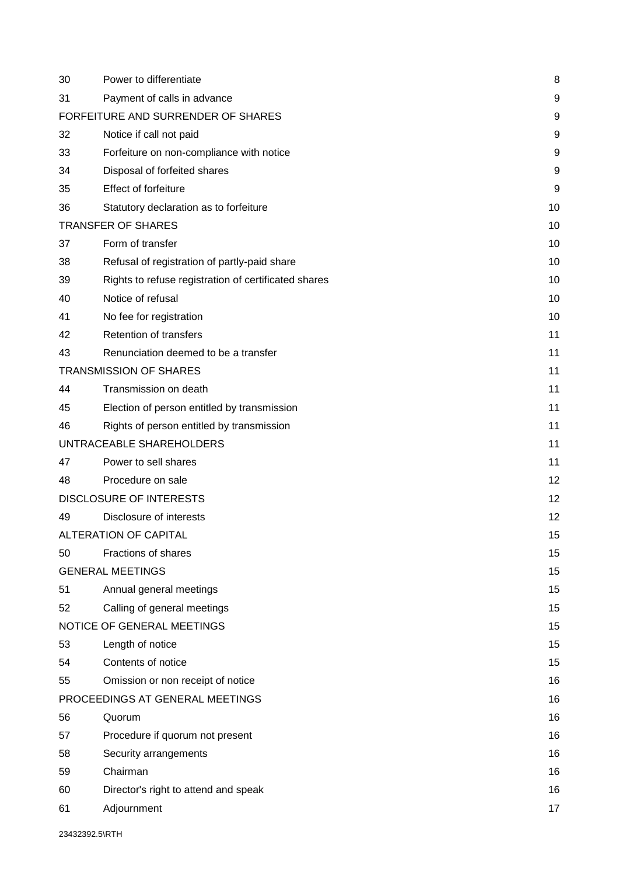| 30 | Power to differentiate                               | 8  |
|----|------------------------------------------------------|----|
| 31 | Payment of calls in advance                          | 9  |
|    | FORFEITURE AND SURRENDER OF SHARES                   | 9  |
| 32 | Notice if call not paid                              | 9  |
| 33 | Forfeiture on non-compliance with notice             | 9  |
| 34 | Disposal of forfeited shares                         | 9  |
| 35 | <b>Effect of forfeiture</b>                          | 9  |
| 36 | Statutory declaration as to forfeiture               | 10 |
|    | <b>TRANSFER OF SHARES</b>                            | 10 |
| 37 | Form of transfer                                     | 10 |
| 38 | Refusal of registration of partly-paid share         | 10 |
| 39 | Rights to refuse registration of certificated shares | 10 |
| 40 | Notice of refusal                                    | 10 |
| 41 | No fee for registration                              | 10 |
| 42 | Retention of transfers                               | 11 |
| 43 | Renunciation deemed to be a transfer                 | 11 |
|    | <b>TRANSMISSION OF SHARES</b>                        | 11 |
| 44 | Transmission on death                                | 11 |
| 45 | Election of person entitled by transmission          | 11 |
| 46 | Rights of person entitled by transmission            | 11 |
|    | UNTRACEABLE SHAREHOLDERS                             | 11 |
| 47 | Power to sell shares                                 | 11 |
| 48 | Procedure on sale                                    | 12 |
|    | <b>DISCLOSURE OF INTERESTS</b>                       | 12 |
| 49 | Disclosure of interests                              | 12 |
|    | ALTERATION OF CAPITAL                                | 15 |
| 50 | Fractions of shares                                  | 15 |
|    | <b>GENERAL MEETINGS</b>                              | 15 |
| 51 | Annual general meetings                              | 15 |
| 52 | Calling of general meetings                          | 15 |
|    | NOTICE OF GENERAL MEETINGS                           | 15 |
| 53 | Length of notice                                     | 15 |
| 54 | Contents of notice                                   | 15 |
| 55 | Omission or non receipt of notice                    | 16 |
|    | PROCEEDINGS AT GENERAL MEETINGS                      | 16 |
| 56 | Quorum                                               | 16 |
| 57 | Procedure if quorum not present                      | 16 |
| 58 | Security arrangements                                | 16 |
| 59 | Chairman                                             | 16 |
| 60 | Director's right to attend and speak                 | 16 |
| 61 | Adjournment                                          | 17 |
|    |                                                      |    |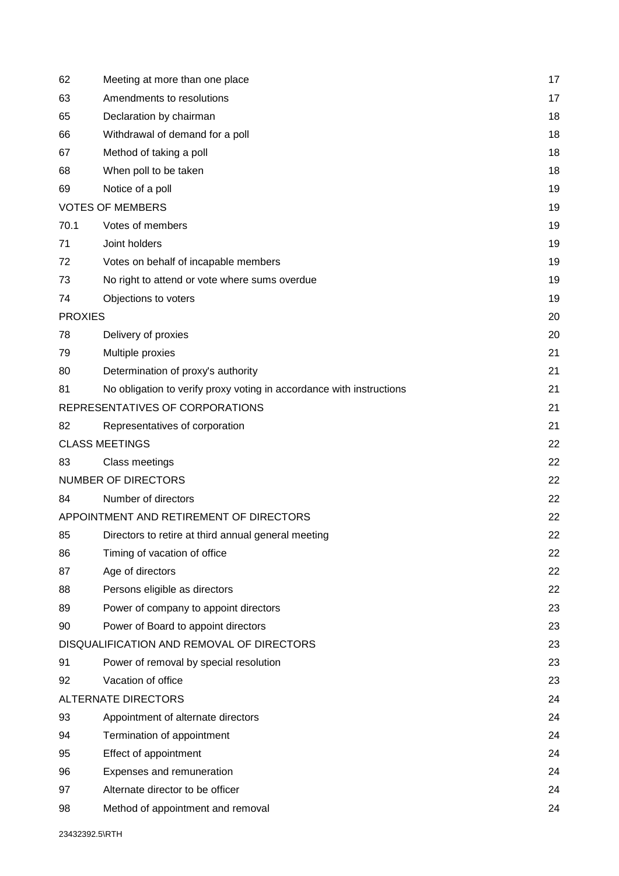| 62             | Meeting at more than one place                                       | 17 |
|----------------|----------------------------------------------------------------------|----|
| 63             | Amendments to resolutions                                            | 17 |
| 65             | Declaration by chairman                                              | 18 |
| 66             | Withdrawal of demand for a poll                                      | 18 |
| 67             | Method of taking a poll                                              | 18 |
| 68             | When poll to be taken                                                | 18 |
| 69             | Notice of a poll                                                     | 19 |
|                | <b>VOTES OF MEMBERS</b>                                              | 19 |
| 70.1           | Votes of members                                                     | 19 |
| 71             | Joint holders                                                        | 19 |
| 72             | Votes on behalf of incapable members                                 | 19 |
| 73             | No right to attend or vote where sums overdue                        | 19 |
| 74             | Objections to voters                                                 | 19 |
| <b>PROXIES</b> |                                                                      | 20 |
| 78             | Delivery of proxies                                                  | 20 |
| 79             | Multiple proxies                                                     | 21 |
| 80             | Determination of proxy's authority                                   | 21 |
| 81             | No obligation to verify proxy voting in accordance with instructions | 21 |
|                | REPRESENTATIVES OF CORPORATIONS                                      | 21 |
| 82             | Representatives of corporation                                       | 21 |
|                | <b>CLASS MEETINGS</b>                                                | 22 |
| 83             | Class meetings                                                       | 22 |
|                | <b>NUMBER OF DIRECTORS</b>                                           | 22 |
| 84             | Number of directors                                                  | 22 |
|                | APPOINTMENT AND RETIREMENT OF DIRECTORS                              | 22 |
| 85             | Directors to retire at third annual general meeting                  | 22 |
| 86             | Timing of vacation of office                                         | 22 |
| 87             | Age of directors                                                     | 22 |
| 88             | Persons eligible as directors                                        | 22 |
| 89             | Power of company to appoint directors                                | 23 |
| 90             | Power of Board to appoint directors                                  | 23 |
|                | DISQUALIFICATION AND REMOVAL OF DIRECTORS                            | 23 |
| 91             | Power of removal by special resolution                               | 23 |
| 92             | Vacation of office                                                   | 23 |
|                | <b>ALTERNATE DIRECTORS</b>                                           | 24 |
| 93             | Appointment of alternate directors                                   | 24 |
| 94             | Termination of appointment                                           | 24 |
| 95             | Effect of appointment                                                | 24 |
| 96             | Expenses and remuneration                                            | 24 |
| 97             | Alternate director to be officer                                     | 24 |
| 98             | Method of appointment and removal                                    | 24 |
|                |                                                                      |    |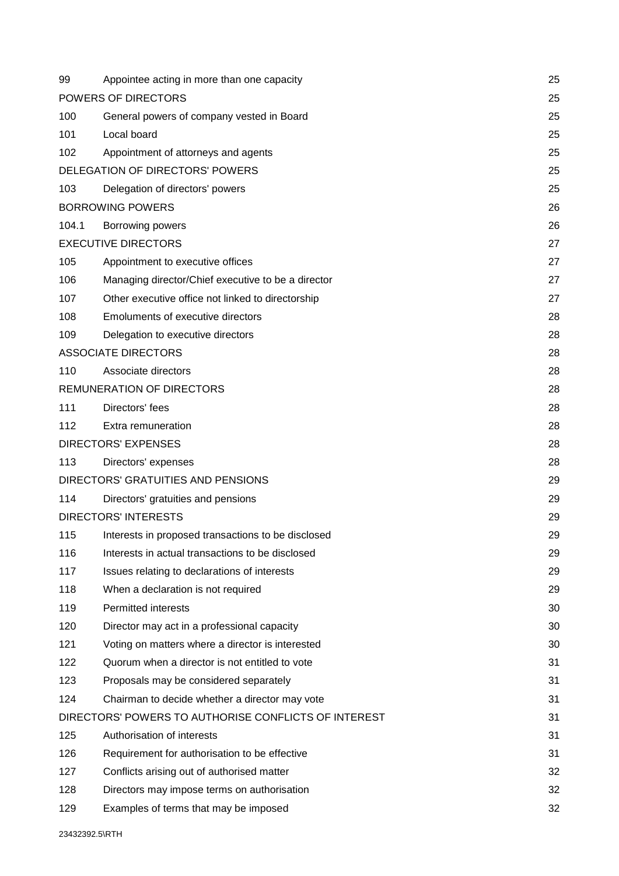| 99    | Appointee acting in more than one capacity           | 25 |
|-------|------------------------------------------------------|----|
|       | POWERS OF DIRECTORS                                  | 25 |
| 100   | General powers of company vested in Board            | 25 |
| 101   | Local board                                          | 25 |
| 102   | Appointment of attorneys and agents                  | 25 |
|       | DELEGATION OF DIRECTORS' POWERS                      | 25 |
| 103   | Delegation of directors' powers                      | 25 |
|       | <b>BORROWING POWERS</b>                              | 26 |
| 104.1 | Borrowing powers                                     | 26 |
|       | <b>EXECUTIVE DIRECTORS</b>                           | 27 |
| 105   | Appointment to executive offices                     | 27 |
| 106   | Managing director/Chief executive to be a director   | 27 |
| 107   | Other executive office not linked to directorship    | 27 |
| 108   | Emoluments of executive directors                    | 28 |
| 109   | Delegation to executive directors                    | 28 |
|       | <b>ASSOCIATE DIRECTORS</b>                           | 28 |
| 110   | Associate directors                                  | 28 |
|       | REMUNERATION OF DIRECTORS                            | 28 |
| 111   | Directors' fees                                      | 28 |
| 112   | Extra remuneration                                   | 28 |
|       | <b>DIRECTORS' EXPENSES</b>                           | 28 |
| 113   | Directors' expenses                                  | 28 |
|       | DIRECTORS' GRATUITIES AND PENSIONS                   | 29 |
| 114   | Directors' gratuities and pensions                   | 29 |
|       | <b>DIRECTORS' INTERESTS</b>                          | 29 |
| 115   | Interests in proposed transactions to be disclosed   | 29 |
| 116   | Interests in actual transactions to be disclosed     | 29 |
| 117   | Issues relating to declarations of interests         | 29 |
| 118   | When a declaration is not required                   | 29 |
| 119   | <b>Permitted interests</b>                           | 30 |
| 120   | Director may act in a professional capacity          | 30 |
| 121   | Voting on matters where a director is interested     | 30 |
| 122   | Quorum when a director is not entitled to vote       | 31 |
| 123   | Proposals may be considered separately               | 31 |
| 124   | Chairman to decide whether a director may vote       | 31 |
|       | DIRECTORS' POWERS TO AUTHORISE CONFLICTS OF INTEREST | 31 |
| 125   | Authorisation of interests                           | 31 |
| 126   | Requirement for authorisation to be effective        | 31 |
| 127   | Conflicts arising out of authorised matter           | 32 |
| 128   | Directors may impose terms on authorisation          | 32 |
| 129   | Examples of terms that may be imposed                | 32 |
|       |                                                      |    |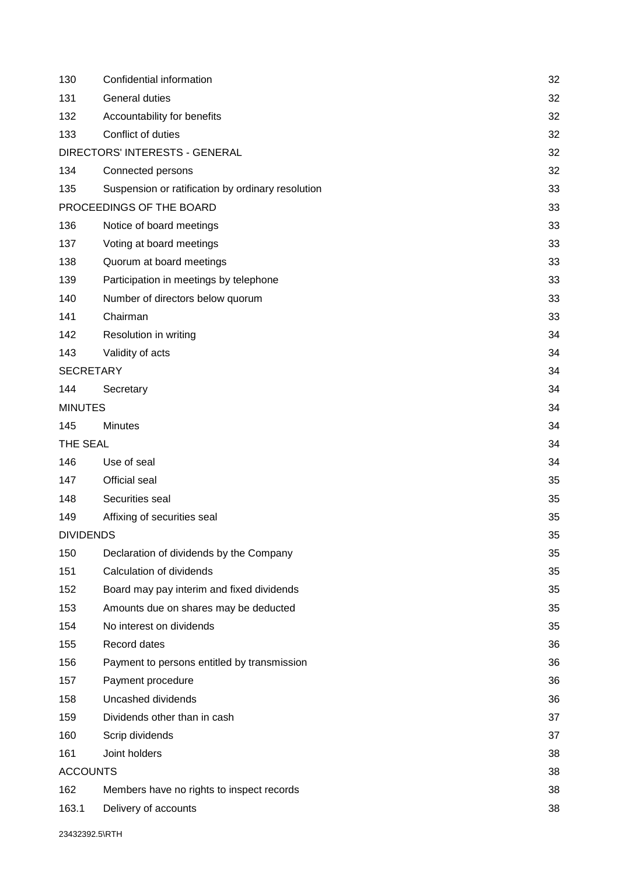| 130              | Confidential information                          | 32 |
|------------------|---------------------------------------------------|----|
| 131              | General duties                                    | 32 |
| 132              | Accountability for benefits                       | 32 |
| 133              | Conflict of duties                                | 32 |
|                  | DIRECTORS' INTERESTS - GENERAL                    | 32 |
| 134              | Connected persons                                 | 32 |
| 135              | Suspension or ratification by ordinary resolution | 33 |
|                  | PROCEEDINGS OF THE BOARD                          | 33 |
| 136              | Notice of board meetings                          | 33 |
| 137              | Voting at board meetings                          | 33 |
| 138              | Quorum at board meetings                          | 33 |
| 139              | Participation in meetings by telephone            | 33 |
| 140              | Number of directors below quorum                  | 33 |
| 141              | Chairman                                          | 33 |
| 142              | Resolution in writing                             | 34 |
| 143              | Validity of acts                                  | 34 |
| <b>SECRETARY</b> |                                                   | 34 |
| 144              | Secretary                                         | 34 |
| <b>MINUTES</b>   |                                                   | 34 |
| 145              | <b>Minutes</b>                                    | 34 |
| THE SEAL         |                                                   | 34 |
| 146              | Use of seal                                       | 34 |
| 147              | Official seal                                     | 35 |
| 148              | Securities seal                                   | 35 |
| 149              | Affixing of securities seal                       | 35 |
| <b>DIVIDENDS</b> |                                                   | 35 |
| 150              | Declaration of dividends by the Company           | 35 |
| 151              | Calculation of dividends                          | 35 |
| 152              | Board may pay interim and fixed dividends         | 35 |
| 153              | Amounts due on shares may be deducted             | 35 |
| 154              | No interest on dividends                          | 35 |
| 155              | Record dates                                      | 36 |
| 156              | Payment to persons entitled by transmission       | 36 |
| 157              | Payment procedure                                 | 36 |
| 158              | Uncashed dividends                                | 36 |
| 159              | Dividends other than in cash                      | 37 |
| 160              | Scrip dividends                                   | 37 |
| 161              | Joint holders                                     | 38 |
| <b>ACCOUNTS</b>  |                                                   | 38 |
| 162              | Members have no rights to inspect records         | 38 |
| 163.1            | Delivery of accounts                              | 38 |
|                  |                                                   |    |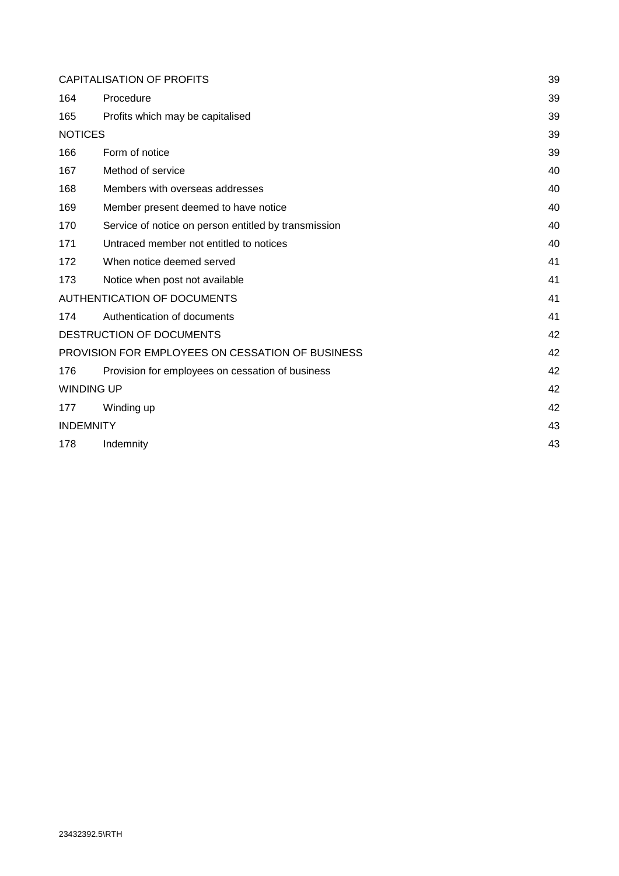| CAPITALISATION OF PROFITS                        |                                                      | 39 |
|--------------------------------------------------|------------------------------------------------------|----|
| 164                                              | Procedure                                            | 39 |
| 165                                              | Profits which may be capitalised                     | 39 |
| <b>NOTICES</b>                                   |                                                      | 39 |
| 166                                              | Form of notice                                       | 39 |
| 167                                              | Method of service                                    | 40 |
| 168                                              | Members with overseas addresses                      | 40 |
| 169                                              | Member present deemed to have notice                 | 40 |
| 170                                              | Service of notice on person entitled by transmission | 40 |
| 171                                              | Untraced member not entitled to notices              | 40 |
| 172                                              | When notice deemed served                            | 41 |
| 173                                              | Notice when post not available                       | 41 |
| <b>AUTHENTICATION OF DOCUMENTS</b>               |                                                      | 41 |
| 174                                              | Authentication of documents                          | 41 |
| DESTRUCTION OF DOCUMENTS                         |                                                      | 42 |
| PROVISION FOR EMPLOYEES ON CESSATION OF BUSINESS |                                                      | 42 |
| 176                                              | Provision for employees on cessation of business     | 42 |
| <b>WINDING UP</b>                                |                                                      | 42 |
| 177                                              | Winding up                                           | 42 |
| <b>INDEMNITY</b>                                 |                                                      | 43 |
| 178                                              | Indemnity                                            | 43 |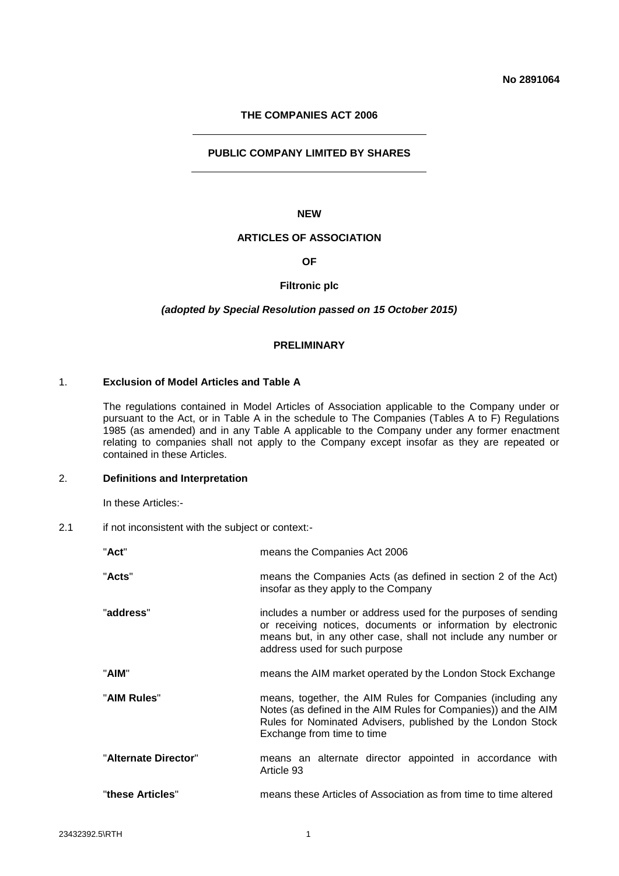## **THE COMPANIES ACT 2006**

## <span id="page-7-0"></span>**PUBLIC COMPANY LIMITED BY SHARES**

## **NEW**

## **ARTICLES OF ASSOCIATION**

#### **OF**

### **Filtronic plc**

#### *(adopted by Special Resolution passed on 15 October 2015)*

## **PRELIMINARY**

# 1. **Exclusion of Model Articles and Table A**

The regulations contained in Model Articles of Association applicable to the Company under or pursuant to the Act, or in Table A in the schedule to The Companies (Tables A to F) Regulations 1985 (as amended) and in any Table A applicable to the Company under any former enactment relating to companies shall not apply to the Company except insofar as they are repeated or contained in these Articles.

# 2. **Definitions and Interpretation**

In these Articles:-

2.1 if not inconsistent with the subject or context:-

| "Act"                | means the Companies Act 2006                                                                                                                                                                                                    |  |  |  |  |  |
|----------------------|---------------------------------------------------------------------------------------------------------------------------------------------------------------------------------------------------------------------------------|--|--|--|--|--|
| "Acts"               | means the Companies Acts (as defined in section 2 of the Act)<br>insofar as they apply to the Company                                                                                                                           |  |  |  |  |  |
| "address"            | includes a number or address used for the purposes of sending<br>or receiving notices, documents or information by electronic<br>means but, in any other case, shall not include any number or<br>address used for such purpose |  |  |  |  |  |
| "AIM"                | means the AIM market operated by the London Stock Exchange                                                                                                                                                                      |  |  |  |  |  |
| "AIM Rules"          | means, together, the AIM Rules for Companies (including any<br>Notes (as defined in the AIM Rules for Companies)) and the AIM<br>Rules for Nominated Advisers, published by the London Stock<br>Exchange from time to time      |  |  |  |  |  |
| "Alternate Director" | means an alternate director appointed in accordance with<br>Article 93                                                                                                                                                          |  |  |  |  |  |
| "these Articles"     | means these Articles of Association as from time to time altered                                                                                                                                                                |  |  |  |  |  |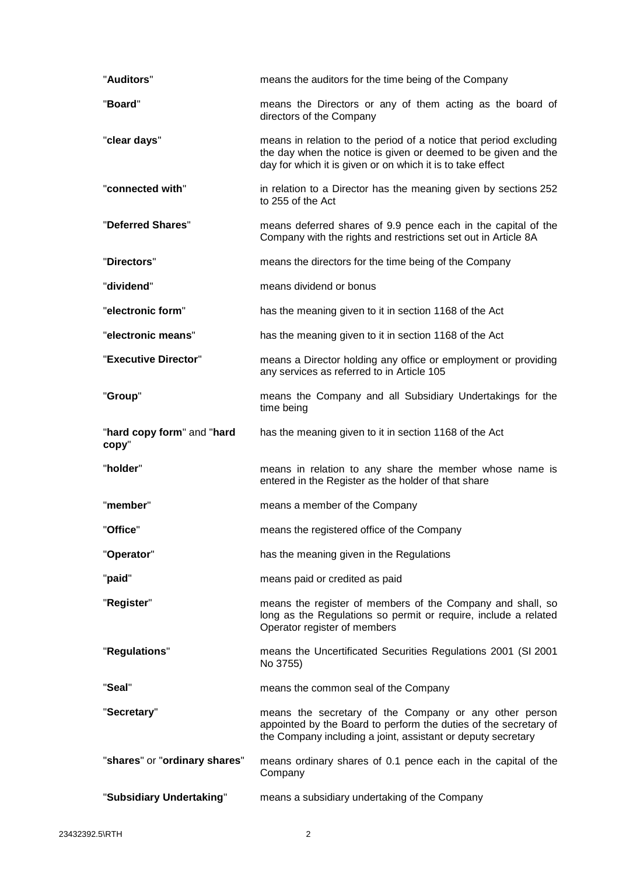| "Auditors"                          | means the auditors for the time being of the Company                                                                                                                                              |
|-------------------------------------|---------------------------------------------------------------------------------------------------------------------------------------------------------------------------------------------------|
| "Board"                             | means the Directors or any of them acting as the board of<br>directors of the Company                                                                                                             |
| "clear days"                        | means in relation to the period of a notice that period excluding<br>the day when the notice is given or deemed to be given and the<br>day for which it is given or on which it is to take effect |
| "connected with"                    | in relation to a Director has the meaning given by sections 252<br>to 255 of the Act                                                                                                              |
| "Deferred Shares"                   | means deferred shares of 9.9 pence each in the capital of the<br>Company with the rights and restrictions set out in Article 8A                                                                   |
| "Directors"                         | means the directors for the time being of the Company                                                                                                                                             |
| "dividend"                          | means dividend or bonus                                                                                                                                                                           |
| "electronic form"                   | has the meaning given to it in section 1168 of the Act                                                                                                                                            |
| "electronic means"                  | has the meaning given to it in section 1168 of the Act                                                                                                                                            |
| "Executive Director"                | means a Director holding any office or employment or providing<br>any services as referred to in Article 105                                                                                      |
| "Group"                             | means the Company and all Subsidiary Undertakings for the<br>time being                                                                                                                           |
| "hard copy form" and "hard<br>copy" | has the meaning given to it in section 1168 of the Act                                                                                                                                            |
| "holder"                            | means in relation to any share the member whose name is<br>entered in the Register as the holder of that share                                                                                    |
| "member"                            | means a member of the Company                                                                                                                                                                     |
| "Office"                            | means the registered office of the Company                                                                                                                                                        |
| "Operator"                          | has the meaning given in the Regulations                                                                                                                                                          |
| "paid"                              | means paid or credited as paid                                                                                                                                                                    |
| "Register"                          | means the register of members of the Company and shall, so<br>long as the Regulations so permit or require, include a related<br>Operator register of members                                     |
| "Regulations"                       | means the Uncertificated Securities Regulations 2001 (SI 2001<br>No 3755)                                                                                                                         |
| "Seal"                              | means the common seal of the Company                                                                                                                                                              |
| "Secretary"                         | means the secretary of the Company or any other person<br>appointed by the Board to perform the duties of the secretary of<br>the Company including a joint, assistant or deputy secretary        |
| "shares" or "ordinary shares"       | means ordinary shares of 0.1 pence each in the capital of the<br>Company                                                                                                                          |
| "Subsidiary Undertaking"            | means a subsidiary undertaking of the Company                                                                                                                                                     |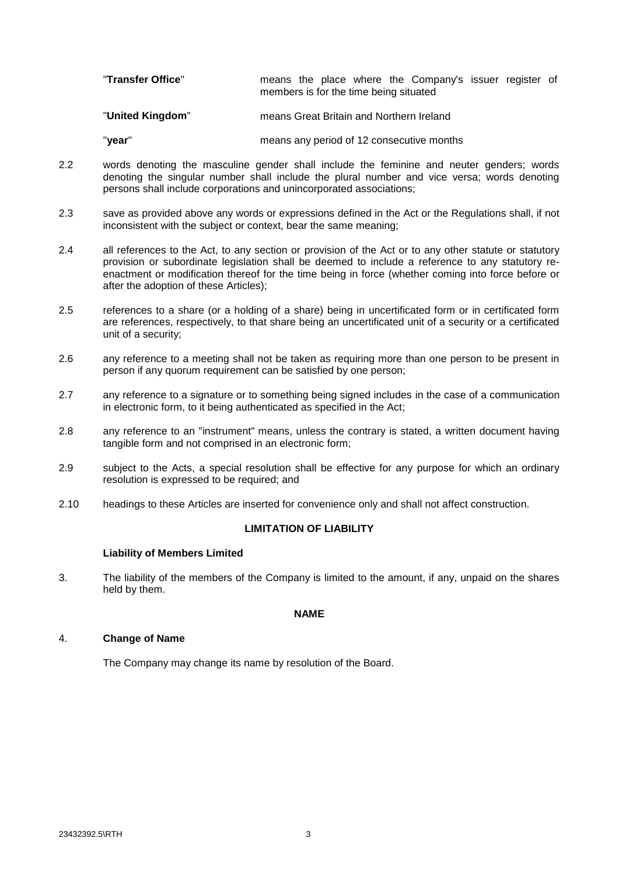<span id="page-9-0"></span>

| "Transfer Office" |                                        |  |  |  |  | means the place where the Company's issuer register of |  |  |
|-------------------|----------------------------------------|--|--|--|--|--------------------------------------------------------|--|--|
|                   | members is for the time being situated |  |  |  |  |                                                        |  |  |
| "United Kinadom"  |                                        |  |  |  |  | means Great Britain and Northern Ireland               |  |  |

"**year**" means any period of 12 consecutive months

- 2.2 words denoting the masculine gender shall include the feminine and neuter genders; words denoting the singular number shall include the plural number and vice versa; words denoting persons shall include corporations and unincorporated associations;
- 2.3 save as provided above any words or expressions defined in the Act or the Regulations shall, if not inconsistent with the subject or context, bear the same meaning;
- 2.4 all references to the Act, to any section or provision of the Act or to any other statute or statutory provision or subordinate legislation shall be deemed to include a reference to any statutory reenactment or modification thereof for the time being in force (whether coming into force before or after the adoption of these Articles);
- 2.5 references to a share (or a holding of a share) being in uncertificated form or in certificated form are references, respectively, to that share being an uncertificated unit of a security or a certificated unit of a security;
- 2.6 any reference to a meeting shall not be taken as requiring more than one person to be present in person if any quorum requirement can be satisfied by one person;
- 2.7 any reference to a signature or to something being signed includes in the case of a communication in electronic form, to it being authenticated as specified in the Act;
- 2.8 any reference to an "instrument" means, unless the contrary is stated, a written document having tangible form and not comprised in an electronic form;
- 2.9 subject to the Acts, a special resolution shall be effective for any purpose for which an ordinary resolution is expressed to be required; and
- 2.10 headings to these Articles are inserted for convenience only and shall not affect construction.

# **LIMITATION OF LIABILITY**

# **Liability of Members Limited**

3. The liability of the members of the Company is limited to the amount, if any, unpaid on the shares held by them.

## **NAME**

## 4. **Change of Name**

The Company may change its name by resolution of the Board.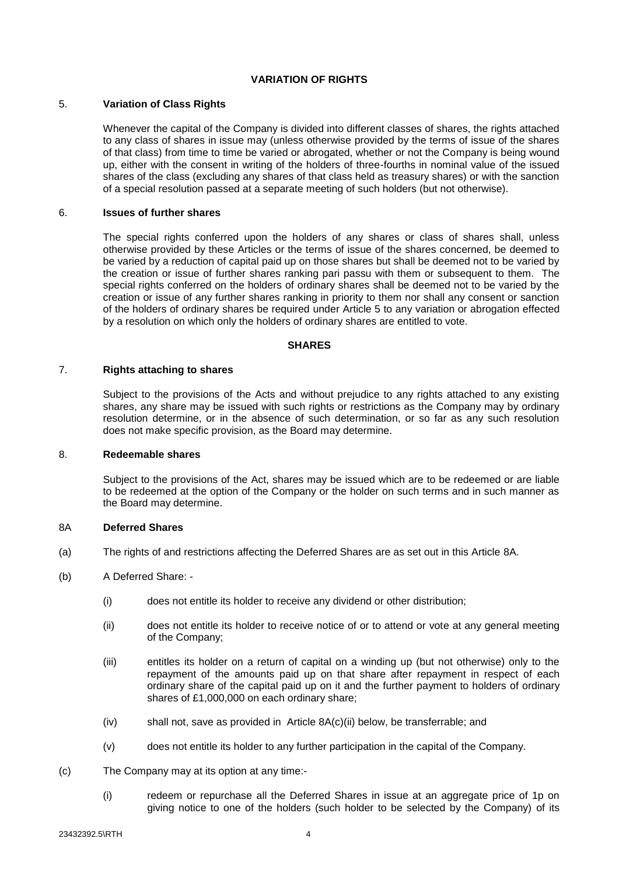# **VARIATION OF RIGHTS**

## <span id="page-10-2"></span><span id="page-10-0"></span>5. **Variation of Class Rights**

Whenever the capital of the Company is divided into different classes of shares, the rights attached to any class of shares in issue may (unless otherwise provided by the terms of issue of the shares of that class) from time to time be varied or abrogated, whether or not the Company is being wound up, either with the consent in writing of the holders of three-fourths in nominal value of the issued shares of the class (excluding any shares of that class held as treasury shares) or with the sanction of a special resolution passed at a separate meeting of such holders (but not otherwise).

## 6. **Issues of further shares**

The special rights conferred upon the holders of any shares or class of shares shall, unless otherwise provided by these Articles or the terms of issue of the shares concerned, be deemed to be varied by a reduction of capital paid up on those shares but shall be deemed not to be varied by the creation or issue of further shares ranking pari passu with them or subsequent to them. The special rights conferred on the holders of ordinary shares shall be deemed not to be varied by the creation or issue of any further shares ranking in priority to them nor shall any consent or sanction of the holders of ordinary shares be required under Article [5](#page-10-2) to any variation or abrogation effected by a resolution on which only the holders of ordinary shares are entitled to vote.

## **SHARES**

# 7. **Rights attaching to shares**

Subject to the provisions of the Acts and without prejudice to any rights attached to any existing shares, any share may be issued with such rights or restrictions as the Company may by ordinary resolution determine, or in the absence of such determination, or so far as any such resolution does not make specific provision, as the Board may determine.

## 8. **Redeemable shares**

Subject to the provisions of the Act, shares may be issued which are to be redeemed or are liable to be redeemed at the option of the Company or the holder on such terms and in such manner as the Board may determine.

# <span id="page-10-1"></span>8A **Deferred Shares**

(a) The rights of and restrictions affecting the Deferred Shares are as set out in this Article 8A.

# (b) A Deferred Share: -

- (i) does not entitle its holder to receive any dividend or other distribution;
- (ii) does not entitle its holder to receive notice of or to attend or vote at any general meeting of the Company;
- (iii) entitles its holder on a return of capital on a winding up (but not otherwise) only to the repayment of the amounts paid up on that share after repayment in respect of each ordinary share of the capital paid up on it and the further payment to holders of ordinary shares of £1,000,000 on each ordinary share;
- (iv) shall not, save as provided in Article 8A(c)(ii) below, be transferrable; and
- (v) does not entitle its holder to any further participation in the capital of the Company.
- (c) The Company may at its option at any time:-
	- (i) redeem or repurchase all the Deferred Shares in issue at an aggregate price of 1p on giving notice to one of the holders (such holder to be selected by the Company) of its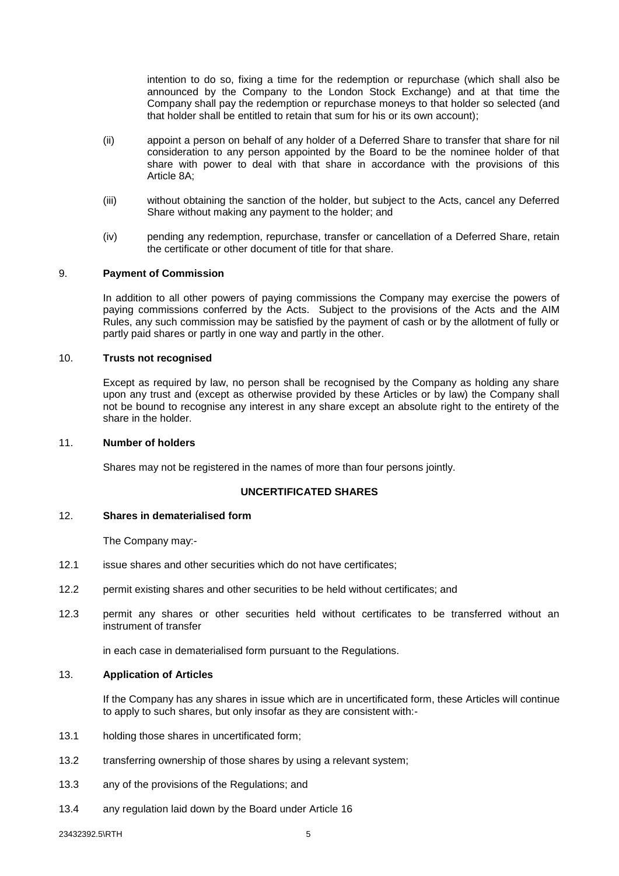<span id="page-11-0"></span>intention to do so, fixing a time for the redemption or repurchase (which shall also be announced by the Company to the London Stock Exchange) and at that time the Company shall pay the redemption or repurchase moneys to that holder so selected (and that holder shall be entitled to retain that sum for his or its own account);

- (ii) appoint a person on behalf of any holder of a Deferred Share to transfer that share for nil consideration to any person appointed by the Board to be the nominee holder of that share with power to deal with that share in accordance with the provisions of this Article 8A;
- (iii) without obtaining the sanction of the holder, but subject to the Acts, cancel any Deferred Share without making any payment to the holder; and
- (iv) pending any redemption, repurchase, transfer or cancellation of a Deferred Share, retain the certificate or other document of title for that share.

# 9. **Payment of Commission**

In addition to all other powers of paying commissions the Company may exercise the powers of paying commissions conferred by the Acts. Subject to the provisions of the Acts and the AIM Rules, any such commission may be satisfied by the payment of cash or by the allotment of fully or partly paid shares or partly in one way and partly in the other.

## 10. **Trusts not recognised**

Except as required by law, no person shall be recognised by the Company as holding any share upon any trust and (except as otherwise provided by these Articles or by law) the Company shall not be bound to recognise any interest in any share except an absolute right to the entirety of the share in the holder.

## 11. **Number of holders**

Shares may not be registered in the names of more than four persons jointly.

# **UNCERTIFICATED SHARES**

## 12. **Shares in dematerialised form**

The Company may:-

- 12.1 issue shares and other securities which do not have certificates;
- 12.2 permit existing shares and other securities to be held without certificates; and
- 12.3 permit any shares or other securities held without certificates to be transferred without an instrument of transfer

in each case in dematerialised form pursuant to the Regulations.

## 13. **Application of Articles**

If the Company has any shares in issue which are in uncertificated form, these Articles will continue to apply to such shares, but only insofar as they are consistent with:-

- 13.1 holding those shares in uncertificated form;
- 13.2 transferring ownership of those shares by using a relevant system;
- 13.3 any of the provisions of the Regulations; and
- 13.4 any regulation laid down by the Board under Article [16](#page-12-1)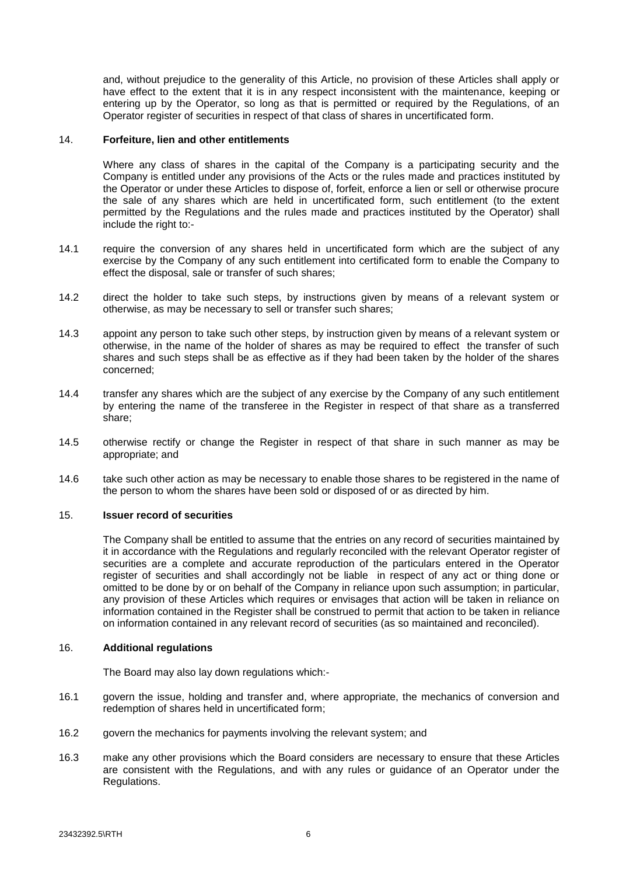<span id="page-12-0"></span>and, without prejudice to the generality of this Article, no provision of these Articles shall apply or have effect to the extent that it is in any respect inconsistent with the maintenance, keeping or entering up by the Operator, so long as that is permitted or required by the Regulations, of an Operator register of securities in respect of that class of shares in uncertificated form.

### 14. **Forfeiture, lien and other entitlements**

Where any class of shares in the capital of the Company is a participating security and the Company is entitled under any provisions of the Acts or the rules made and practices instituted by the Operator or under these Articles to dispose of, forfeit, enforce a lien or sell or otherwise procure the sale of any shares which are held in uncertificated form, such entitlement (to the extent permitted by the Regulations and the rules made and practices instituted by the Operator) shall include the right to:-

- 14.1 require the conversion of any shares held in uncertificated form which are the subject of any exercise by the Company of any such entitlement into certificated form to enable the Company to effect the disposal, sale or transfer of such shares;
- 14.2 direct the holder to take such steps, by instructions given by means of a relevant system or otherwise, as may be necessary to sell or transfer such shares;
- 14.3 appoint any person to take such other steps, by instruction given by means of a relevant system or otherwise, in the name of the holder of shares as may be required to effect the transfer of such shares and such steps shall be as effective as if they had been taken by the holder of the shares concerned;
- 14.4 transfer any shares which are the subject of any exercise by the Company of any such entitlement by entering the name of the transferee in the Register in respect of that share as a transferred share;
- 14.5 otherwise rectify or change the Register in respect of that share in such manner as may be appropriate; and
- 14.6 take such other action as may be necessary to enable those shares to be registered in the name of the person to whom the shares have been sold or disposed of or as directed by him.

#### 15. **Issuer record of securities**

The Company shall be entitled to assume that the entries on any record of securities maintained by it in accordance with the Regulations and regularly reconciled with the relevant Operator register of securities are a complete and accurate reproduction of the particulars entered in the Operator register of securities and shall accordingly not be liable in respect of any act or thing done or omitted to be done by or on behalf of the Company in reliance upon such assumption; in particular, any provision of these Articles which requires or envisages that action will be taken in reliance on information contained in the Register shall be construed to permit that action to be taken in reliance on information contained in any relevant record of securities (as so maintained and reconciled).

## <span id="page-12-1"></span>16. **Additional regulations**

The Board may also lay down regulations which:-

- 16.1 govern the issue, holding and transfer and, where appropriate, the mechanics of conversion and redemption of shares held in uncertificated form;
- 16.2 govern the mechanics for payments involving the relevant system; and
- 16.3 make any other provisions which the Board considers are necessary to ensure that these Articles are consistent with the Regulations, and with any rules or guidance of an Operator under the Regulations.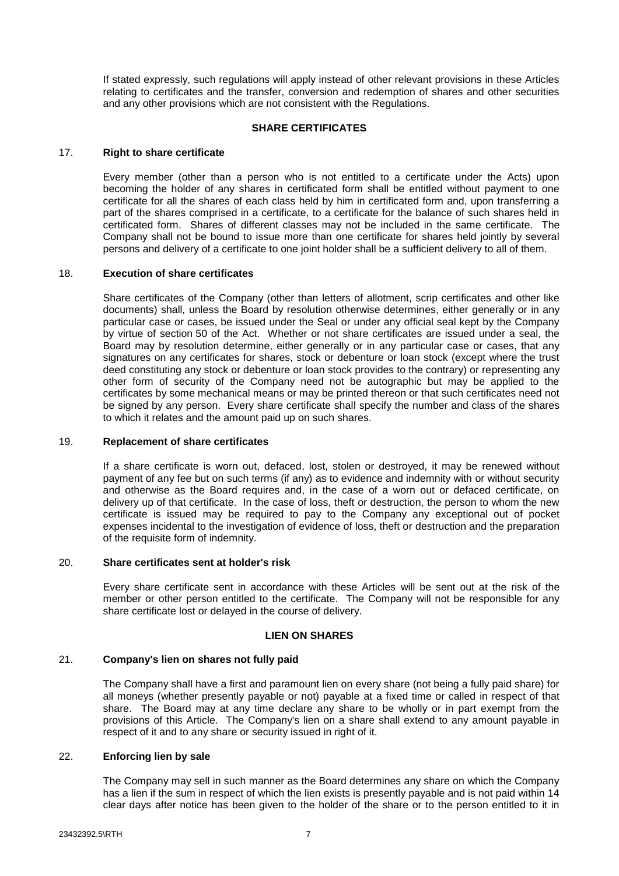<span id="page-13-0"></span>If stated expressly, such regulations will apply instead of other relevant provisions in these Articles relating to certificates and the transfer, conversion and redemption of shares and other securities and any other provisions which are not consistent with the Regulations.

## **SHARE CERTIFICATES**

## 17. **Right to share certificate**

Every member (other than a person who is not entitled to a certificate under the Acts) upon becoming the holder of any shares in certificated form shall be entitled without payment to one certificate for all the shares of each class held by him in certificated form and, upon transferring a part of the shares comprised in a certificate, to a certificate for the balance of such shares held in certificated form. Shares of different classes may not be included in the same certificate. The Company shall not be bound to issue more than one certificate for shares held jointly by several persons and delivery of a certificate to one joint holder shall be a sufficient delivery to all of them.

## 18. **Execution of share certificates**

Share certificates of the Company (other than letters of allotment, scrip certificates and other like documents) shall, unless the Board by resolution otherwise determines, either generally or in any particular case or cases, be issued under the Seal or under any official seal kept by the Company by virtue of section 50 of the Act. Whether or not share certificates are issued under a seal, the Board may by resolution determine, either generally or in any particular case or cases, that any signatures on any certificates for shares, stock or debenture or loan stock (except where the trust deed constituting any stock or debenture or loan stock provides to the contrary) or representing any other form of security of the Company need not be autographic but may be applied to the certificates by some mechanical means or may be printed thereon or that such certificates need not be signed by any person. Every share certificate shall specify the number and class of the shares to which it relates and the amount paid up on such shares.

## 19. **Replacement of share certificates**

If a share certificate is worn out, defaced, lost, stolen or destroyed, it may be renewed without payment of any fee but on such terms (if any) as to evidence and indemnity with or without security and otherwise as the Board requires and, in the case of a worn out or defaced certificate, on delivery up of that certificate. In the case of loss, theft or destruction, the person to whom the new certificate is issued may be required to pay to the Company any exceptional out of pocket expenses incidental to the investigation of evidence of loss, theft or destruction and the preparation of the requisite form of indemnity.

## 20. **Share certificates sent at holder's risk**

Every share certificate sent in accordance with these Articles will be sent out at the risk of the member or other person entitled to the certificate. The Company will not be responsible for any share certificate lost or delayed in the course of delivery.

## **LIEN ON SHARES**

## 21. **Company's lien on shares not fully paid**

The Company shall have a first and paramount lien on every share (not being a fully paid share) for all moneys (whether presently payable or not) payable at a fixed time or called in respect of that share. The Board may at any time declare any share to be wholly or in part exempt from the provisions of this Article. The Company's lien on a share shall extend to any amount payable in respect of it and to any share or security issued in right of it.

## 22. **Enforcing lien by sale**

The Company may sell in such manner as the Board determines any share on which the Company has a lien if the sum in respect of which the lien exists is presently payable and is not paid within 14 clear days after notice has been given to the holder of the share or to the person entitled to it in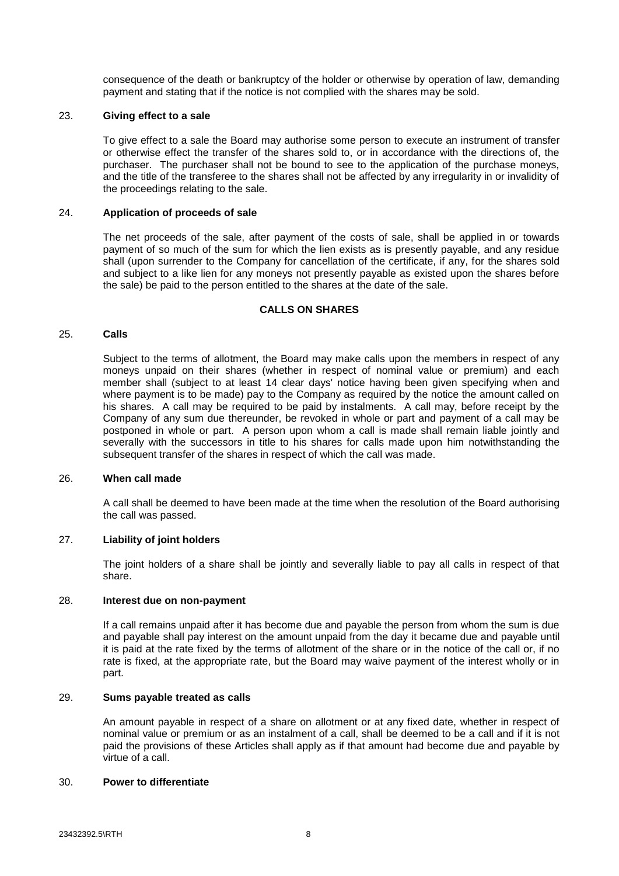consequence of the death or bankruptcy of the holder or otherwise by operation of law, demanding payment and stating that if the notice is not complied with the shares may be sold.

## <span id="page-14-0"></span>23. **Giving effect to a sale**

To give effect to a sale the Board may authorise some person to execute an instrument of transfer or otherwise effect the transfer of the shares sold to, or in accordance with the directions of, the purchaser. The purchaser shall not be bound to see to the application of the purchase moneys, and the title of the transferee to the shares shall not be affected by any irregularity in or invalidity of the proceedings relating to the sale.

## 24. **Application of proceeds of sale**

The net proceeds of the sale, after payment of the costs of sale, shall be applied in or towards payment of so much of the sum for which the lien exists as is presently payable, and any residue shall (upon surrender to the Company for cancellation of the certificate, if any, for the shares sold and subject to a like lien for any moneys not presently payable as existed upon the shares before the sale) be paid to the person entitled to the shares at the date of the sale.

## **CALLS ON SHARES**

#### 25. **Calls**

Subject to the terms of allotment, the Board may make calls upon the members in respect of any moneys unpaid on their shares (whether in respect of nominal value or premium) and each member shall (subject to at least 14 clear days' notice having been given specifying when and where payment is to be made) pay to the Company as required by the notice the amount called on his shares. A call may be required to be paid by instalments. A call may, before receipt by the Company of any sum due thereunder, be revoked in whole or part and payment of a call may be postponed in whole or part. A person upon whom a call is made shall remain liable jointly and severally with the successors in title to his shares for calls made upon him notwithstanding the subsequent transfer of the shares in respect of which the call was made.

## 26. **When call made**

A call shall be deemed to have been made at the time when the resolution of the Board authorising the call was passed.

## 27. **Liability of joint holders**

The joint holders of a share shall be jointly and severally liable to pay all calls in respect of that share.

## 28. **Interest due on non-payment**

If a call remains unpaid after it has become due and payable the person from whom the sum is due and payable shall pay interest on the amount unpaid from the day it became due and payable until it is paid at the rate fixed by the terms of allotment of the share or in the notice of the call or, if no rate is fixed, at the appropriate rate, but the Board may waive payment of the interest wholly or in part.

## 29. **Sums payable treated as calls**

An amount payable in respect of a share on allotment or at any fixed date, whether in respect of nominal value or premium or as an instalment of a call, shall be deemed to be a call and if it is not paid the provisions of these Articles shall apply as if that amount had become due and payable by virtue of a call.

## 30. **Power to differentiate**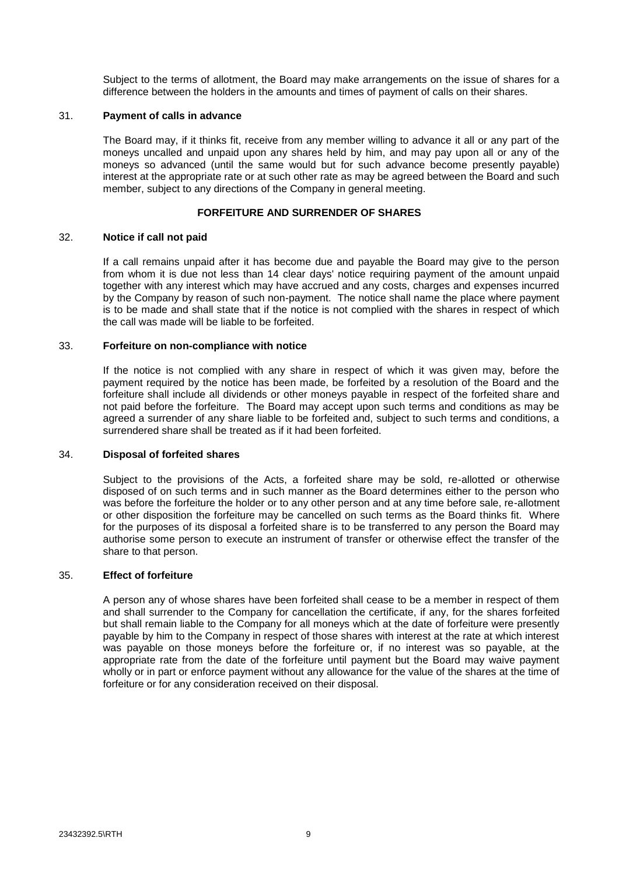Subject to the terms of allotment, the Board may make arrangements on the issue of shares for a difference between the holders in the amounts and times of payment of calls on their shares.

## <span id="page-15-0"></span>31. **Payment of calls in advance**

The Board may, if it thinks fit, receive from any member willing to advance it all or any part of the moneys uncalled and unpaid upon any shares held by him, and may pay upon all or any of the moneys so advanced (until the same would but for such advance become presently payable) interest at the appropriate rate or at such other rate as may be agreed between the Board and such member, subject to any directions of the Company in general meeting.

# **FORFEITURE AND SURRENDER OF SHARES**

## 32. **Notice if call not paid**

If a call remains unpaid after it has become due and payable the Board may give to the person from whom it is due not less than 14 clear days' notice requiring payment of the amount unpaid together with any interest which may have accrued and any costs, charges and expenses incurred by the Company by reason of such non-payment. The notice shall name the place where payment is to be made and shall state that if the notice is not complied with the shares in respect of which the call was made will be liable to be forfeited.

## 33. **Forfeiture on non-compliance with notice**

If the notice is not complied with any share in respect of which it was given may, before the payment required by the notice has been made, be forfeited by a resolution of the Board and the forfeiture shall include all dividends or other moneys payable in respect of the forfeited share and not paid before the forfeiture. The Board may accept upon such terms and conditions as may be agreed a surrender of any share liable to be forfeited and, subject to such terms and conditions, a surrendered share shall be treated as if it had been forfeited.

## 34. **Disposal of forfeited shares**

Subject to the provisions of the Acts, a forfeited share may be sold, re-allotted or otherwise disposed of on such terms and in such manner as the Board determines either to the person who was before the forfeiture the holder or to any other person and at any time before sale, re-allotment or other disposition the forfeiture may be cancelled on such terms as the Board thinks fit. Where for the purposes of its disposal a forfeited share is to be transferred to any person the Board may authorise some person to execute an instrument of transfer or otherwise effect the transfer of the share to that person.

## 35. **Effect of forfeiture**

A person any of whose shares have been forfeited shall cease to be a member in respect of them and shall surrender to the Company for cancellation the certificate, if any, for the shares forfeited but shall remain liable to the Company for all moneys which at the date of forfeiture were presently payable by him to the Company in respect of those shares with interest at the rate at which interest was payable on those moneys before the forfeiture or, if no interest was so payable, at the appropriate rate from the date of the forfeiture until payment but the Board may waive payment wholly or in part or enforce payment without any allowance for the value of the shares at the time of forfeiture or for any consideration received on their disposal.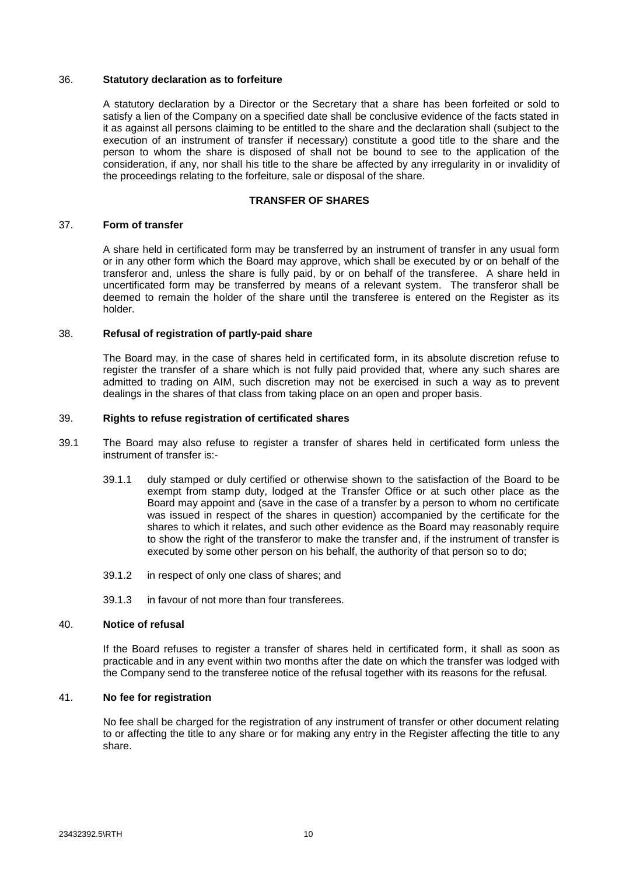## <span id="page-16-0"></span>36. **Statutory declaration as to forfeiture**

A statutory declaration by a Director or the Secretary that a share has been forfeited or sold to satisfy a lien of the Company on a specified date shall be conclusive evidence of the facts stated in it as against all persons claiming to be entitled to the share and the declaration shall (subject to the execution of an instrument of transfer if necessary) constitute a good title to the share and the person to whom the share is disposed of shall not be bound to see to the application of the consideration, if any, nor shall his title to the share be affected by any irregularity in or invalidity of the proceedings relating to the forfeiture, sale or disposal of the share.

## **TRANSFER OF SHARES**

### 37. **Form of transfer**

A share held in certificated form may be transferred by an instrument of transfer in any usual form or in any other form which the Board may approve, which shall be executed by or on behalf of the transferor and, unless the share is fully paid, by or on behalf of the transferee. A share held in uncertificated form may be transferred by means of a relevant system. The transferor shall be deemed to remain the holder of the share until the transferee is entered on the Register as its holder.

#### 38. **Refusal of registration of partly-paid share**

The Board may, in the case of shares held in certificated form, in its absolute discretion refuse to register the transfer of a share which is not fully paid provided that, where any such shares are admitted to trading on AIM, such discretion may not be exercised in such a way as to prevent dealings in the shares of that class from taking place on an open and proper basis.

## 39. **Rights to refuse registration of certificated shares**

- 39.1 The Board may also refuse to register a transfer of shares held in certificated form unless the instrument of transfer is:-
	- 39.1.1 duly stamped or duly certified or otherwise shown to the satisfaction of the Board to be exempt from stamp duty, lodged at the Transfer Office or at such other place as the Board may appoint and (save in the case of a transfer by a person to whom no certificate was issued in respect of the shares in question) accompanied by the certificate for the shares to which it relates, and such other evidence as the Board may reasonably require to show the right of the transferor to make the transfer and, if the instrument of transfer is executed by some other person on his behalf, the authority of that person so to do;
	- 39.1.2 in respect of only one class of shares; and
	- 39.1.3 in favour of not more than four transferees.

#### 40. **Notice of refusal**

If the Board refuses to register a transfer of shares held in certificated form, it shall as soon as practicable and in any event within two months after the date on which the transfer was lodged with the Company send to the transferee notice of the refusal together with its reasons for the refusal.

## 41. **No fee for registration**

No fee shall be charged for the registration of any instrument of transfer or other document relating to or affecting the title to any share or for making any entry in the Register affecting the title to any share.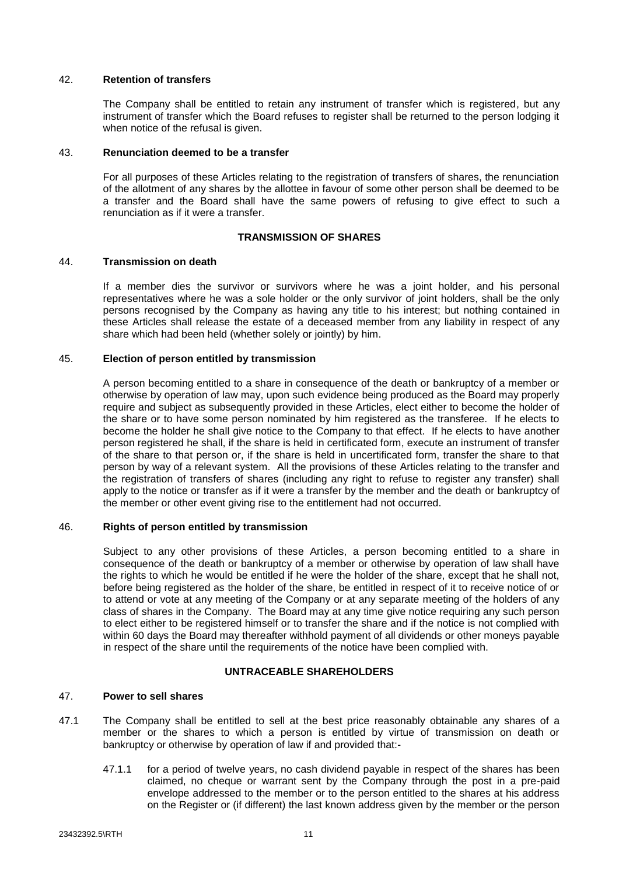## <span id="page-17-0"></span>42. **Retention of transfers**

The Company shall be entitled to retain any instrument of transfer which is registered, but any instrument of transfer which the Board refuses to register shall be returned to the person lodging it when notice of the refusal is given.

## 43. **Renunciation deemed to be a transfer**

For all purposes of these Articles relating to the registration of transfers of shares, the renunciation of the allotment of any shares by the allottee in favour of some other person shall be deemed to be a transfer and the Board shall have the same powers of refusing to give effect to such a renunciation as if it were a transfer.

# **TRANSMISSION OF SHARES**

## 44. **Transmission on death**

If a member dies the survivor or survivors where he was a joint holder, and his personal representatives where he was a sole holder or the only survivor of joint holders, shall be the only persons recognised by the Company as having any title to his interest; but nothing contained in these Articles shall release the estate of a deceased member from any liability in respect of any share which had been held (whether solely or jointly) by him.

## 45. **Election of person entitled by transmission**

A person becoming entitled to a share in consequence of the death or bankruptcy of a member or otherwise by operation of law may, upon such evidence being produced as the Board may properly require and subject as subsequently provided in these Articles, elect either to become the holder of the share or to have some person nominated by him registered as the transferee. If he elects to become the holder he shall give notice to the Company to that effect. If he elects to have another person registered he shall, if the share is held in certificated form, execute an instrument of transfer of the share to that person or, if the share is held in uncertificated form, transfer the share to that person by way of a relevant system. All the provisions of these Articles relating to the transfer and the registration of transfers of shares (including any right to refuse to register any transfer) shall apply to the notice or transfer as if it were a transfer by the member and the death or bankruptcy of the member or other event giving rise to the entitlement had not occurred.

## 46. **Rights of person entitled by transmission**

Subject to any other provisions of these Articles, a person becoming entitled to a share in consequence of the death or bankruptcy of a member or otherwise by operation of law shall have the rights to which he would be entitled if he were the holder of the share, except that he shall not, before being registered as the holder of the share, be entitled in respect of it to receive notice of or to attend or vote at any meeting of the Company or at any separate meeting of the holders of any class of shares in the Company. The Board may at any time give notice requiring any such person to elect either to be registered himself or to transfer the share and if the notice is not complied with within 60 days the Board may thereafter withhold payment of all dividends or other moneys payable in respect of the share until the requirements of the notice have been complied with.

# <span id="page-17-1"></span>**UNTRACEABLE SHAREHOLDERS**

## 47. **Power to sell shares**

- <span id="page-17-2"></span>47.1 The Company shall be entitled to sell at the best price reasonably obtainable any shares of a member or the shares to which a person is entitled by virtue of transmission on death or bankruptcy or otherwise by operation of law if and provided that:-
	- 47.1.1 for a period of twelve years, no cash dividend payable in respect of the shares has been claimed, no cheque or warrant sent by the Company through the post in a pre-paid envelope addressed to the member or to the person entitled to the shares at his address on the Register or (if different) the last known address given by the member or the person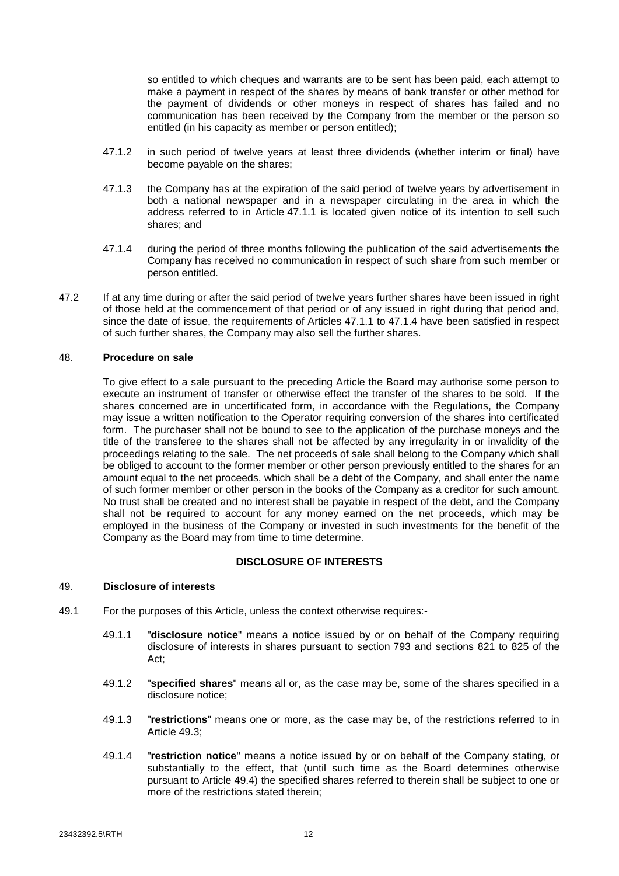<span id="page-18-0"></span>so entitled to which cheques and warrants are to be sent has been paid, each attempt to make a payment in respect of the shares by means of bank transfer or other method for the payment of dividends or other moneys in respect of shares has failed and no communication has been received by the Company from the member or the person so entitled (in his capacity as member or person entitled);

- 47.1.2 in such period of twelve years at least three dividends (whether interim or final) have become payable on the shares;
- 47.1.3 the Company has at the expiration of the said period of twelve years by advertisement in both a national newspaper and in a newspaper circulating in the area in which the address referred to in Article [47.1.1](#page-17-1) is located given notice of its intention to sell such shares; and
- <span id="page-18-1"></span>47.1.4 during the period of three months following the publication of the said advertisements the Company has received no communication in respect of such share from such member or person entitled.
- 47.2 If at any time during or after the said period of twelve years further shares have been issued in right of those held at the commencement of that period or of any issued in right during that period and, since the date of issue, the requirements of Articles [47.1.1](#page-17-2) to [47.1.4](#page-18-1) have been satisfied in respect of such further shares, the Company may also sell the further shares.

## 48. **Procedure on sale**

To give effect to a sale pursuant to the preceding Article the Board may authorise some person to execute an instrument of transfer or otherwise effect the transfer of the shares to be sold. If the shares concerned are in uncertificated form, in accordance with the Regulations, the Company may issue a written notification to the Operator requiring conversion of the shares into certificated form. The purchaser shall not be bound to see to the application of the purchase moneys and the title of the transferee to the shares shall not be affected by any irregularity in or invalidity of the proceedings relating to the sale. The net proceeds of sale shall belong to the Company which shall be obliged to account to the former member or other person previously entitled to the shares for an amount equal to the net proceeds, which shall be a debt of the Company, and shall enter the name of such former member or other person in the books of the Company as a creditor for such amount. No trust shall be created and no interest shall be payable in respect of the debt, and the Company shall not be required to account for any money earned on the net proceeds, which may be employed in the business of the Company or invested in such investments for the benefit of the Company as the Board may from time to time determine.

# **DISCLOSURE OF INTERESTS**

## 49. **Disclosure of interests**

- 49.1 For the purposes of this Article, unless the context otherwise requires:-
	- 49.1.1 "**disclosure notice**" means a notice issued by or on behalf of the Company requiring disclosure of interests in shares pursuant to section 793 and sections 821 to 825 of the Act;
	- 49.1.2 "**specified shares**" means all or, as the case may be, some of the shares specified in a disclosure notice;
	- 49.1.3 "**restrictions**" means one or more, as the case may be, of the restrictions referred to in Article [49.3;](#page-19-0)
	- 49.1.4 "**restriction notice**" means a notice issued by or on behalf of the Company stating, or substantially to the effect, that (until such time as the Board determines otherwise pursuant to Article [49.4\)](#page-20-0) the specified shares referred to therein shall be subject to one or more of the restrictions stated therein;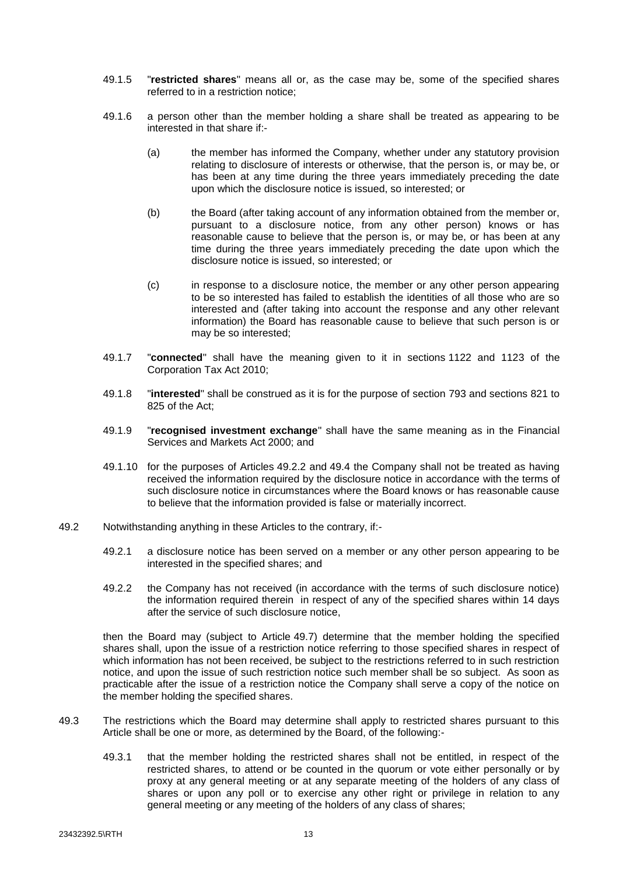- 49.1.5 "**restricted shares**" means all or, as the case may be, some of the specified shares referred to in a restriction notice;
- 49.1.6 a person other than the member holding a share shall be treated as appearing to be interested in that share if:-
	- (a) the member has informed the Company, whether under any statutory provision relating to disclosure of interests or otherwise, that the person is, or may be, or has been at any time during the three years immediately preceding the date upon which the disclosure notice is issued, so interested; or
	- (b) the Board (after taking account of any information obtained from the member or, pursuant to a disclosure notice, from any other person) knows or has reasonable cause to believe that the person is, or may be, or has been at any time during the three years immediately preceding the date upon which the disclosure notice is issued, so interested; or
	- (c) in response to a disclosure notice, the member or any other person appearing to be so interested has failed to establish the identities of all those who are so interested and (after taking into account the response and any other relevant information) the Board has reasonable cause to believe that such person is or may be so interested;
- 49.1.7 "**connected**" shall have the meaning given to it in sections 1122 and 1123 of the Corporation Tax Act 2010;
- 49.1.8 "**interested**" shall be construed as it is for the purpose of section 793 and sections 821 to 825 of the Act;
- 49.1.9 "**recognised investment exchange**" shall have the same meaning as in the Financial Services and Markets Act 2000; and
- 49.1.10 for the purposes of Articles [49.2.2](#page-19-1) and [49.4](#page-20-0) the Company shall not be treated as having received the information required by the disclosure notice in accordance with the terms of such disclosure notice in circumstances where the Board knows or has reasonable cause to believe that the information provided is false or materially incorrect.
- <span id="page-19-1"></span>49.2 Notwithstanding anything in these Articles to the contrary, if:-
	- 49.2.1 a disclosure notice has been served on a member or any other person appearing to be interested in the specified shares; and
	- 49.2.2 the Company has not received (in accordance with the terms of such disclosure notice) the information required therein in respect of any of the specified shares within 14 days after the service of such disclosure notice,

then the Board may (subject to Article [49.7\)](#page-20-1) determine that the member holding the specified shares shall, upon the issue of a restriction notice referring to those specified shares in respect of which information has not been received, be subject to the restrictions referred to in such restriction notice, and upon the issue of such restriction notice such member shall be so subject. As soon as practicable after the issue of a restriction notice the Company shall serve a copy of the notice on the member holding the specified shares.

- <span id="page-19-2"></span><span id="page-19-0"></span>49.3 The restrictions which the Board may determine shall apply to restricted shares pursuant to this Article shall be one or more, as determined by the Board, of the following:-
	- 49.3.1 that the member holding the restricted shares shall not be entitled, in respect of the restricted shares, to attend or be counted in the quorum or vote either personally or by proxy at any general meeting or at any separate meeting of the holders of any class of shares or upon any poll or to exercise any other right or privilege in relation to any general meeting or any meeting of the holders of any class of shares;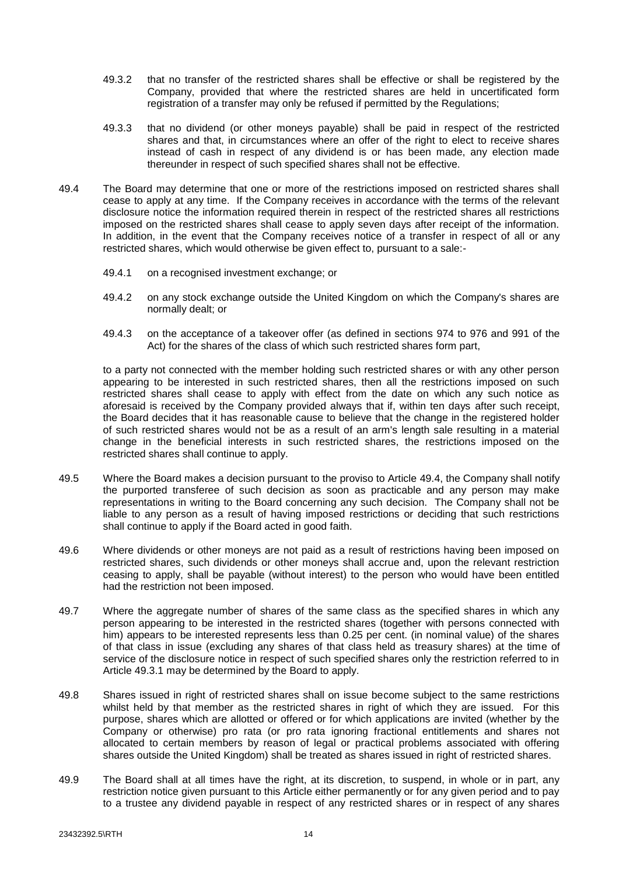- 49.3.2 that no transfer of the restricted shares shall be effective or shall be registered by the Company, provided that where the restricted shares are held in uncertificated form registration of a transfer may only be refused if permitted by the Regulations;
- 49.3.3 that no dividend (or other moneys payable) shall be paid in respect of the restricted shares and that, in circumstances where an offer of the right to elect to receive shares instead of cash in respect of any dividend is or has been made, any election made thereunder in respect of such specified shares shall not be effective.
- <span id="page-20-0"></span>49.4 The Board may determine that one or more of the restrictions imposed on restricted shares shall cease to apply at any time. If the Company receives in accordance with the terms of the relevant disclosure notice the information required therein in respect of the restricted shares all restrictions imposed on the restricted shares shall cease to apply seven days after receipt of the information. In addition, in the event that the Company receives notice of a transfer in respect of all or any restricted shares, which would otherwise be given effect to, pursuant to a sale:-
	- 49.4.1 on a recognised investment exchange; or
	- 49.4.2 on any stock exchange outside the United Kingdom on which the Company's shares are normally dealt; or
	- 49.4.3 on the acceptance of a takeover offer (as defined in sections 974 to 976 and 991 of the Act) for the shares of the class of which such restricted shares form part,

to a party not connected with the member holding such restricted shares or with any other person appearing to be interested in such restricted shares, then all the restrictions imposed on such restricted shares shall cease to apply with effect from the date on which any such notice as aforesaid is received by the Company provided always that if, within ten days after such receipt, the Board decides that it has reasonable cause to believe that the change in the registered holder of such restricted shares would not be as a result of an arm's length sale resulting in a material change in the beneficial interests in such restricted shares, the restrictions imposed on the restricted shares shall continue to apply.

- 49.5 Where the Board makes a decision pursuant to the proviso to Article [49.4,](#page-20-0) the Company shall notify the purported transferee of such decision as soon as practicable and any person may make representations in writing to the Board concerning any such decision. The Company shall not be liable to any person as a result of having imposed restrictions or deciding that such restrictions shall continue to apply if the Board acted in good faith.
- 49.6 Where dividends or other moneys are not paid as a result of restrictions having been imposed on restricted shares, such dividends or other moneys shall accrue and, upon the relevant restriction ceasing to apply, shall be payable (without interest) to the person who would have been entitled had the restriction not been imposed.
- <span id="page-20-1"></span>49.7 Where the aggregate number of shares of the same class as the specified shares in which any person appearing to be interested in the restricted shares (together with persons connected with him) appears to be interested represents less than 0.25 per cent. (in nominal value) of the shares of that class in issue (excluding any shares of that class held as treasury shares) at the time of service of the disclosure notice in respect of such specified shares only the restriction referred to in Article [49.3.1](#page-19-2) may be determined by the Board to apply.
- 49.8 Shares issued in right of restricted shares shall on issue become subject to the same restrictions whilst held by that member as the restricted shares in right of which they are issued. For this purpose, shares which are allotted or offered or for which applications are invited (whether by the Company or otherwise) pro rata (or pro rata ignoring fractional entitlements and shares not allocated to certain members by reason of legal or practical problems associated with offering shares outside the United Kingdom) shall be treated as shares issued in right of restricted shares.
- 49.9 The Board shall at all times have the right, at its discretion, to suspend, in whole or in part, any restriction notice given pursuant to this Article either permanently or for any given period and to pay to a trustee any dividend payable in respect of any restricted shares or in respect of any shares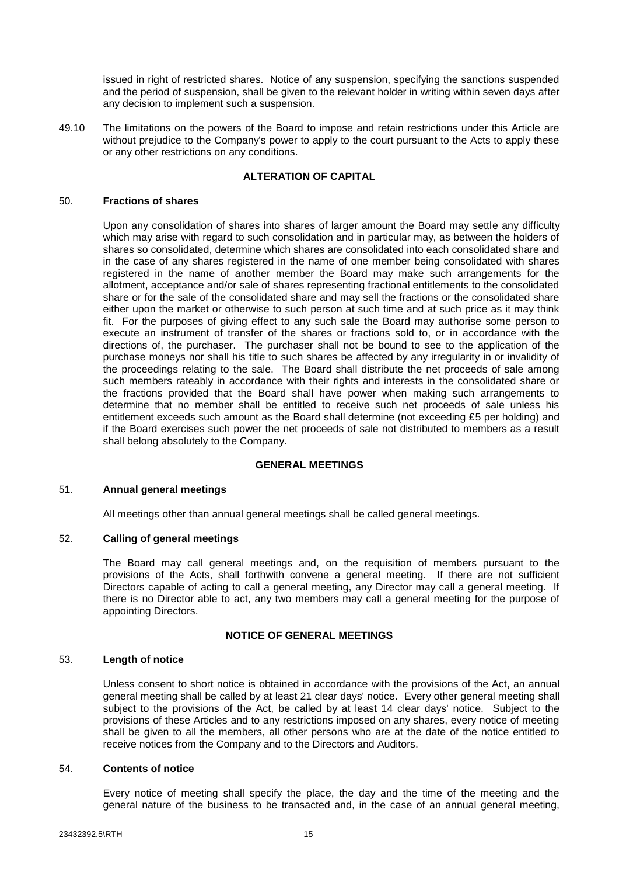<span id="page-21-0"></span>issued in right of restricted shares. Notice of any suspension, specifying the sanctions suspended and the period of suspension, shall be given to the relevant holder in writing within seven days after any decision to implement such a suspension.

49.10 The limitations on the powers of the Board to impose and retain restrictions under this Article are without prejudice to the Company's power to apply to the court pursuant to the Acts to apply these or any other restrictions on any conditions.

# **ALTERATION OF CAPITAL**

## 50. **Fractions of shares**

Upon any consolidation of shares into shares of larger amount the Board may settle any difficulty which may arise with regard to such consolidation and in particular may, as between the holders of shares so consolidated, determine which shares are consolidated into each consolidated share and in the case of any shares registered in the name of one member being consolidated with shares registered in the name of another member the Board may make such arrangements for the allotment, acceptance and/or sale of shares representing fractional entitlements to the consolidated share or for the sale of the consolidated share and may sell the fractions or the consolidated share either upon the market or otherwise to such person at such time and at such price as it may think fit. For the purposes of giving effect to any such sale the Board may authorise some person to execute an instrument of transfer of the shares or fractions sold to, or in accordance with the directions of, the purchaser. The purchaser shall not be bound to see to the application of the purchase moneys nor shall his title to such shares be affected by any irregularity in or invalidity of the proceedings relating to the sale. The Board shall distribute the net proceeds of sale among such members rateably in accordance with their rights and interests in the consolidated share or the fractions provided that the Board shall have power when making such arrangements to determine that no member shall be entitled to receive such net proceeds of sale unless his entitlement exceeds such amount as the Board shall determine (not exceeding £5 per holding) and if the Board exercises such power the net proceeds of sale not distributed to members as a result shall belong absolutely to the Company.

## **GENERAL MEETINGS**

## 51. **Annual general meetings**

All meetings other than annual general meetings shall be called general meetings.

# 52. **Calling of general meetings**

The Board may call general meetings and, on the requisition of members pursuant to the provisions of the Acts, shall forthwith convene a general meeting. If there are not sufficient Directors capable of acting to call a general meeting, any Director may call a general meeting. If there is no Director able to act, any two members may call a general meeting for the purpose of appointing Directors.

# **NOTICE OF GENERAL MEETINGS**

## 53. **Length of notice**

Unless consent to short notice is obtained in accordance with the provisions of the Act, an annual general meeting shall be called by at least 21 clear days' notice. Every other general meeting shall subject to the provisions of the Act, be called by at least 14 clear days' notice. Subject to the provisions of these Articles and to any restrictions imposed on any shares, every notice of meeting shall be given to all the members, all other persons who are at the date of the notice entitled to receive notices from the Company and to the Directors and Auditors.

## 54. **Contents of notice**

Every notice of meeting shall specify the place, the day and the time of the meeting and the general nature of the business to be transacted and, in the case of an annual general meeting,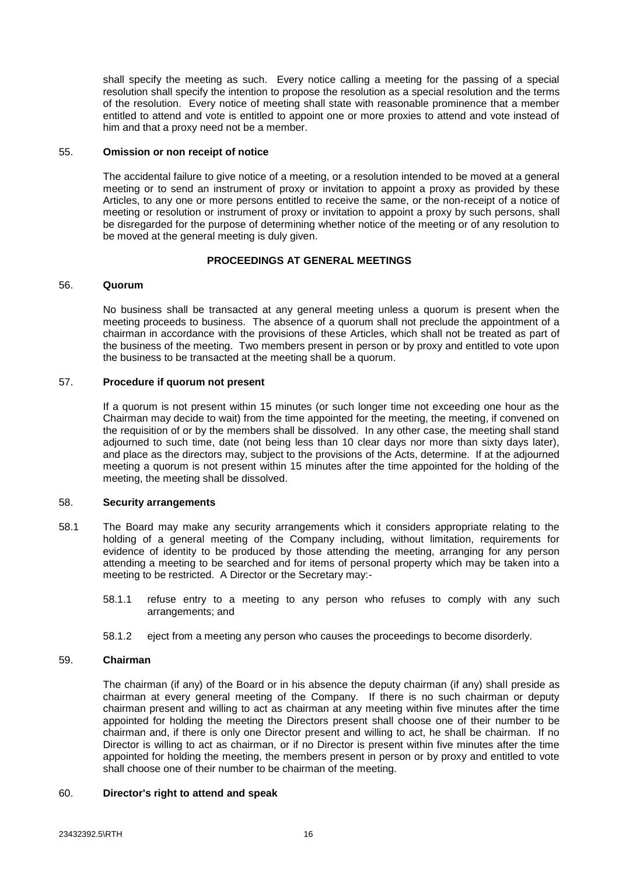<span id="page-22-0"></span>shall specify the meeting as such. Every notice calling a meeting for the passing of a special resolution shall specify the intention to propose the resolution as a special resolution and the terms of the resolution. Every notice of meeting shall state with reasonable prominence that a member entitled to attend and vote is entitled to appoint one or more proxies to attend and vote instead of him and that a proxy need not be a member.

### 55. **Omission or non receipt of notice**

The accidental failure to give notice of a meeting, or a resolution intended to be moved at a general meeting or to send an instrument of proxy or invitation to appoint a proxy as provided by these Articles, to any one or more persons entitled to receive the same, or the non-receipt of a notice of meeting or resolution or instrument of proxy or invitation to appoint a proxy by such persons, shall be disregarded for the purpose of determining whether notice of the meeting or of any resolution to be moved at the general meeting is duly given.

# **PROCEEDINGS AT GENERAL MEETINGS**

## 56. **Quorum**

No business shall be transacted at any general meeting unless a quorum is present when the meeting proceeds to business. The absence of a quorum shall not preclude the appointment of a chairman in accordance with the provisions of these Articles, which shall not be treated as part of the business of the meeting. Two members present in person or by proxy and entitled to vote upon the business to be transacted at the meeting shall be a quorum.

## 57. **Procedure if quorum not present**

If a quorum is not present within 15 minutes (or such longer time not exceeding one hour as the Chairman may decide to wait) from the time appointed for the meeting, the meeting, if convened on the requisition of or by the members shall be dissolved. In any other case, the meeting shall stand adjourned to such time, date (not being less than 10 clear days nor more than sixty days later), and place as the directors may, subject to the provisions of the Acts, determine. If at the adjourned meeting a quorum is not present within 15 minutes after the time appointed for the holding of the meeting, the meeting shall be dissolved.

## 58. **Security arrangements**

- 58.1 The Board may make any security arrangements which it considers appropriate relating to the holding of a general meeting of the Company including, without limitation, requirements for evidence of identity to be produced by those attending the meeting, arranging for any person attending a meeting to be searched and for items of personal property which may be taken into a meeting to be restricted. A Director or the Secretary may:-
	- 58.1.1 refuse entry to a meeting to any person who refuses to comply with any such arrangements; and
	- 58.1.2 eject from a meeting any person who causes the proceedings to become disorderly.

#### 59. **Chairman**

The chairman (if any) of the Board or in his absence the deputy chairman (if any) shall preside as chairman at every general meeting of the Company. If there is no such chairman or deputy chairman present and willing to act as chairman at any meeting within five minutes after the time appointed for holding the meeting the Directors present shall choose one of their number to be chairman and, if there is only one Director present and willing to act, he shall be chairman. If no Director is willing to act as chairman, or if no Director is present within five minutes after the time appointed for holding the meeting, the members present in person or by proxy and entitled to vote shall choose one of their number to be chairman of the meeting.

## 60. **Director's right to attend and speak**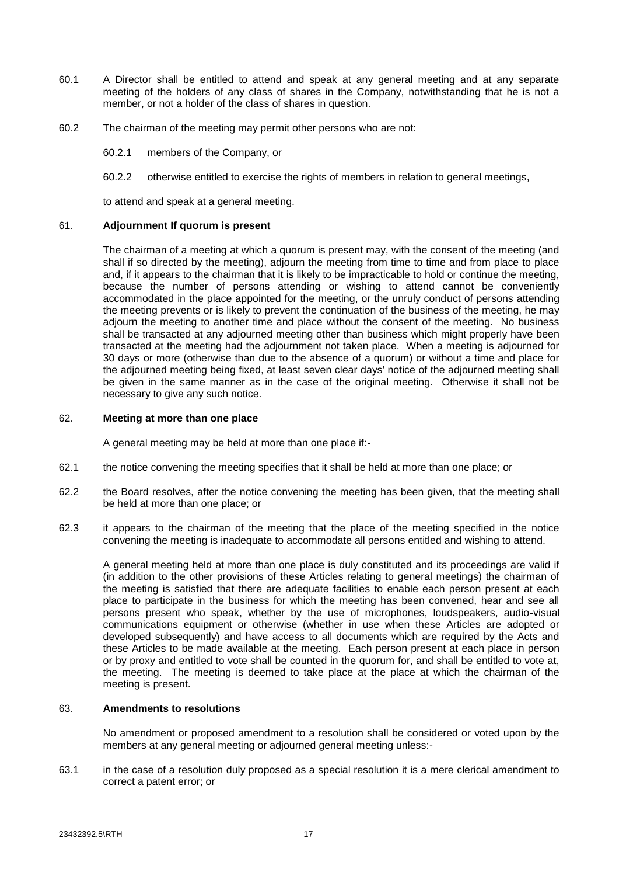- <span id="page-23-0"></span>60.1 A Director shall be entitled to attend and speak at any general meeting and at any separate meeting of the holders of any class of shares in the Company, notwithstanding that he is not a member, or not a holder of the class of shares in question.
- 60.2 The chairman of the meeting may permit other persons who are not:
	- 60.2.1 members of the Company, or
	- 60.2.2 otherwise entitled to exercise the rights of members in relation to general meetings,

to attend and speak at a general meeting.

## 61. **Adjournment If quorum is present**

The chairman of a meeting at which a quorum is present may, with the consent of the meeting (and shall if so directed by the meeting), adjourn the meeting from time to time and from place to place and, if it appears to the chairman that it is likely to be impracticable to hold or continue the meeting, because the number of persons attending or wishing to attend cannot be conveniently accommodated in the place appointed for the meeting, or the unruly conduct of persons attending the meeting prevents or is likely to prevent the continuation of the business of the meeting, he may adjourn the meeting to another time and place without the consent of the meeting. No business shall be transacted at any adjourned meeting other than business which might properly have been transacted at the meeting had the adjournment not taken place. When a meeting is adjourned for 30 days or more (otherwise than due to the absence of a quorum) or without a time and place for the adjourned meeting being fixed, at least seven clear days' notice of the adjourned meeting shall be given in the same manner as in the case of the original meeting. Otherwise it shall not be necessary to give any such notice.

## 62. **Meeting at more than one place**

A general meeting may be held at more than one place if:-

- 62.1 the notice convening the meeting specifies that it shall be held at more than one place; or
- 62.2 the Board resolves, after the notice convening the meeting has been given, that the meeting shall be held at more than one place; or
- 62.3 it appears to the chairman of the meeting that the place of the meeting specified in the notice convening the meeting is inadequate to accommodate all persons entitled and wishing to attend.

A general meeting held at more than one place is duly constituted and its proceedings are valid if (in addition to the other provisions of these Articles relating to general meetings) the chairman of the meeting is satisfied that there are adequate facilities to enable each person present at each place to participate in the business for which the meeting has been convened, hear and see all persons present who speak, whether by the use of microphones, loudspeakers, audio-visual communications equipment or otherwise (whether in use when these Articles are adopted or developed subsequently) and have access to all documents which are required by the Acts and these Articles to be made available at the meeting. Each person present at each place in person or by proxy and entitled to vote shall be counted in the quorum for, and shall be entitled to vote at, the meeting. The meeting is deemed to take place at the place at which the chairman of the meeting is present.

## 63. **Amendments to resolutions**

No amendment or proposed amendment to a resolution shall be considered or voted upon by the members at any general meeting or adjourned general meeting unless:-

63.1 in the case of a resolution duly proposed as a special resolution it is a mere clerical amendment to correct a patent error; or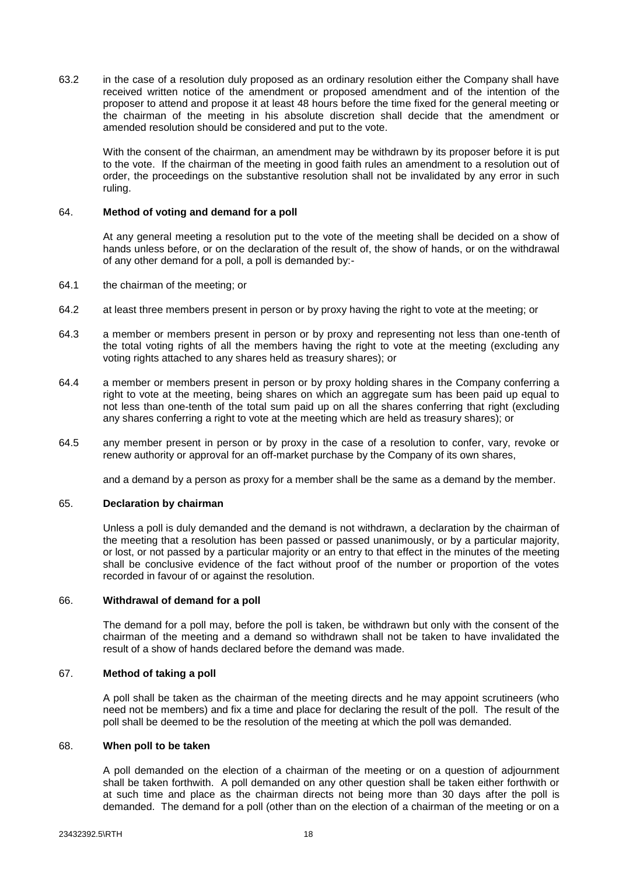<span id="page-24-0"></span>63.2 in the case of a resolution duly proposed as an ordinary resolution either the Company shall have received written notice of the amendment or proposed amendment and of the intention of the proposer to attend and propose it at least 48 hours before the time fixed for the general meeting or the chairman of the meeting in his absolute discretion shall decide that the amendment or amended resolution should be considered and put to the vote.

With the consent of the chairman, an amendment may be withdrawn by its proposer before it is put to the vote. If the chairman of the meeting in good faith rules an amendment to a resolution out of order, the proceedings on the substantive resolution shall not be invalidated by any error in such ruling.

## 64. **Method of voting and demand for a poll**

At any general meeting a resolution put to the vote of the meeting shall be decided on a show of hands unless before, or on the declaration of the result of, the show of hands, or on the withdrawal of any other demand for a poll, a poll is demanded by:-

- 64.1 the chairman of the meeting; or
- 64.2 at least three members present in person or by proxy having the right to vote at the meeting; or
- 64.3 a member or members present in person or by proxy and representing not less than one-tenth of the total voting rights of all the members having the right to vote at the meeting (excluding any voting rights attached to any shares held as treasury shares); or
- 64.4 a member or members present in person or by proxy holding shares in the Company conferring a right to vote at the meeting, being shares on which an aggregate sum has been paid up equal to not less than one-tenth of the total sum paid up on all the shares conferring that right (excluding any shares conferring a right to vote at the meeting which are held as treasury shares); or
- 64.5 any member present in person or by proxy in the case of a resolution to confer, vary, revoke or renew authority or approval for an off-market purchase by the Company of its own shares,

and a demand by a person as proxy for a member shall be the same as a demand by the member.

# 65. **Declaration by chairman**

Unless a poll is duly demanded and the demand is not withdrawn, a declaration by the chairman of the meeting that a resolution has been passed or passed unanimously, or by a particular majority, or lost, or not passed by a particular majority or an entry to that effect in the minutes of the meeting shall be conclusive evidence of the fact without proof of the number or proportion of the votes recorded in favour of or against the resolution.

## 66. **Withdrawal of demand for a poll**

The demand for a poll may, before the poll is taken, be withdrawn but only with the consent of the chairman of the meeting and a demand so withdrawn shall not be taken to have invalidated the result of a show of hands declared before the demand was made.

## 67. **Method of taking a poll**

A poll shall be taken as the chairman of the meeting directs and he may appoint scrutineers (who need not be members) and fix a time and place for declaring the result of the poll. The result of the poll shall be deemed to be the resolution of the meeting at which the poll was demanded.

## 68. **When poll to be taken**

A poll demanded on the election of a chairman of the meeting or on a question of adjournment shall be taken forthwith. A poll demanded on any other question shall be taken either forthwith or at such time and place as the chairman directs not being more than 30 days after the poll is demanded. The demand for a poll (other than on the election of a chairman of the meeting or on a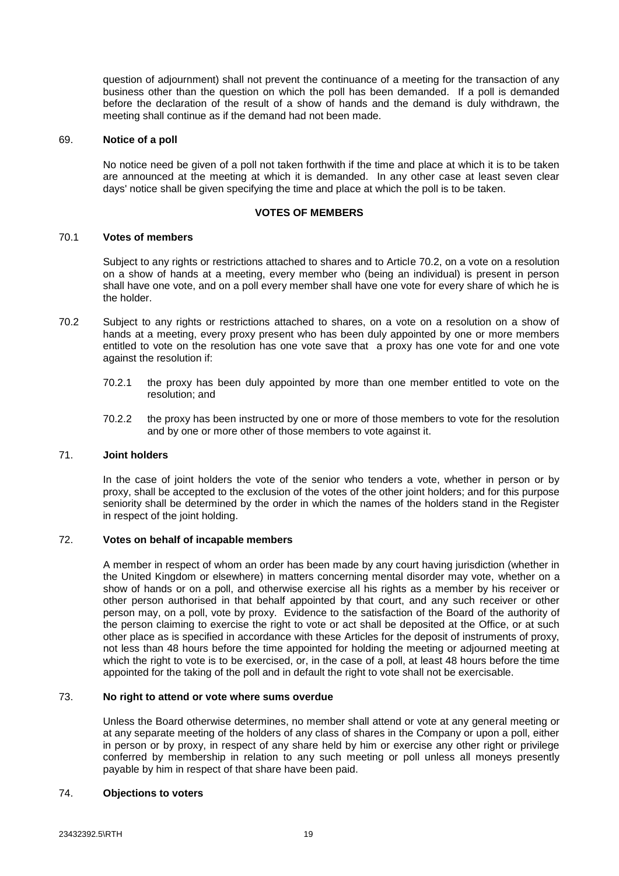<span id="page-25-0"></span>question of adjournment) shall not prevent the continuance of a meeting for the transaction of any business other than the question on which the poll has been demanded. If a poll is demanded before the declaration of the result of a show of hands and the demand is duly withdrawn, the meeting shall continue as if the demand had not been made.

### 69. **Notice of a poll**

No notice need be given of a poll not taken forthwith if the time and place at which it is to be taken are announced at the meeting at which it is demanded. In any other case at least seven clear days' notice shall be given specifying the time and place at which the poll is to be taken.

## **VOTES OF MEMBERS**

## 70.1 **Votes of members**

Subject to any rights or restrictions attached to shares and to Article [70.2,](#page-25-1) on a vote on a resolution on a show of hands at a meeting, every member who (being an individual) is present in person shall have one vote, and on a poll every member shall have one vote for every share of which he is the holder.

- <span id="page-25-1"></span>70.2 Subject to any rights or restrictions attached to shares, on a vote on a resolution on a show of hands at a meeting, every proxy present who has been duly appointed by one or more members entitled to vote on the resolution has one vote save that a proxy has one vote for and one vote against the resolution if:
	- 70.2.1 the proxy has been duly appointed by more than one member entitled to vote on the resolution; and
	- 70.2.2 the proxy has been instructed by one or more of those members to vote for the resolution and by one or more other of those members to vote against it.

## 71. **Joint holders**

In the case of joint holders the vote of the senior who tenders a vote, whether in person or by proxy, shall be accepted to the exclusion of the votes of the other joint holders; and for this purpose seniority shall be determined by the order in which the names of the holders stand in the Register in respect of the joint holding.

## 72. **Votes on behalf of incapable members**

A member in respect of whom an order has been made by any court having jurisdiction (whether in the United Kingdom or elsewhere) in matters concerning mental disorder may vote, whether on a show of hands or on a poll, and otherwise exercise all his rights as a member by his receiver or other person authorised in that behalf appointed by that court, and any such receiver or other person may, on a poll, vote by proxy. Evidence to the satisfaction of the Board of the authority of the person claiming to exercise the right to vote or act shall be deposited at the Office, or at such other place as is specified in accordance with these Articles for the deposit of instruments of proxy, not less than 48 hours before the time appointed for holding the meeting or adjourned meeting at which the right to vote is to be exercised, or, in the case of a poll, at least 48 hours before the time appointed for the taking of the poll and in default the right to vote shall not be exercisable.

## 73. **No right to attend or vote where sums overdue**

Unless the Board otherwise determines, no member shall attend or vote at any general meeting or at any separate meeting of the holders of any class of shares in the Company or upon a poll, either in person or by proxy, in respect of any share held by him or exercise any other right or privilege conferred by membership in relation to any such meeting or poll unless all moneys presently payable by him in respect of that share have been paid.

## 74. **Objections to voters**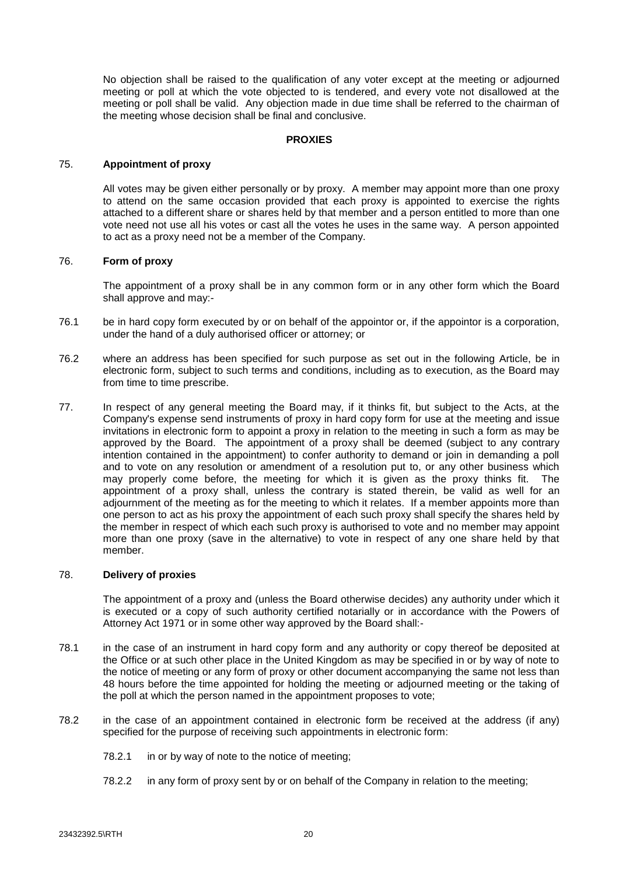<span id="page-26-0"></span>No objection shall be raised to the qualification of any voter except at the meeting or adjourned meeting or poll at which the vote objected to is tendered, and every vote not disallowed at the meeting or poll shall be valid. Any objection made in due time shall be referred to the chairman of the meeting whose decision shall be final and conclusive.

## **PROXIES**

## 75. **Appointment of proxy**

All votes may be given either personally or by proxy. A member may appoint more than one proxy to attend on the same occasion provided that each proxy is appointed to exercise the rights attached to a different share or shares held by that member and a person entitled to more than one vote need not use all his votes or cast all the votes he uses in the same way. A person appointed to act as a proxy need not be a member of the Company.

## 76. **Form of proxy**

The appointment of a proxy shall be in any common form or in any other form which the Board shall approve and may:-

- 76.1 be in hard copy form executed by or on behalf of the appointor or, if the appointor is a corporation, under the hand of a duly authorised officer or attorney; or
- 76.2 where an address has been specified for such purpose as set out in the following Article, be in electronic form, subject to such terms and conditions, including as to execution, as the Board may from time to time prescribe.
- 77. In respect of any general meeting the Board may, if it thinks fit, but subject to the Acts, at the Company's expense send instruments of proxy in hard copy form for use at the meeting and issue invitations in electronic form to appoint a proxy in relation to the meeting in such a form as may be approved by the Board. The appointment of a proxy shall be deemed (subject to any contrary intention contained in the appointment) to confer authority to demand or join in demanding a poll and to vote on any resolution or amendment of a resolution put to, or any other business which may properly come before, the meeting for which it is given as the proxy thinks fit. The appointment of a proxy shall, unless the contrary is stated therein, be valid as well for an adjournment of the meeting as for the meeting to which it relates. If a member appoints more than one person to act as his proxy the appointment of each such proxy shall specify the shares held by the member in respect of which each such proxy is authorised to vote and no member may appoint more than one proxy (save in the alternative) to vote in respect of any one share held by that member.

## 78. **Delivery of proxies**

The appointment of a proxy and (unless the Board otherwise decides) any authority under which it is executed or a copy of such authority certified notarially or in accordance with the Powers of Attorney Act 1971 or in some other way approved by the Board shall:-

- 78.1 in the case of an instrument in hard copy form and any authority or copy thereof be deposited at the Office or at such other place in the United Kingdom as may be specified in or by way of note to the notice of meeting or any form of proxy or other document accompanying the same not less than 48 hours before the time appointed for holding the meeting or adjourned meeting or the taking of the poll at which the person named in the appointment proposes to vote;
- 78.2 in the case of an appointment contained in electronic form be received at the address (if any) specified for the purpose of receiving such appointments in electronic form:
	- 78.2.1 in or by way of note to the notice of meeting;
	- 78.2.2 in any form of proxy sent by or on behalf of the Company in relation to the meeting;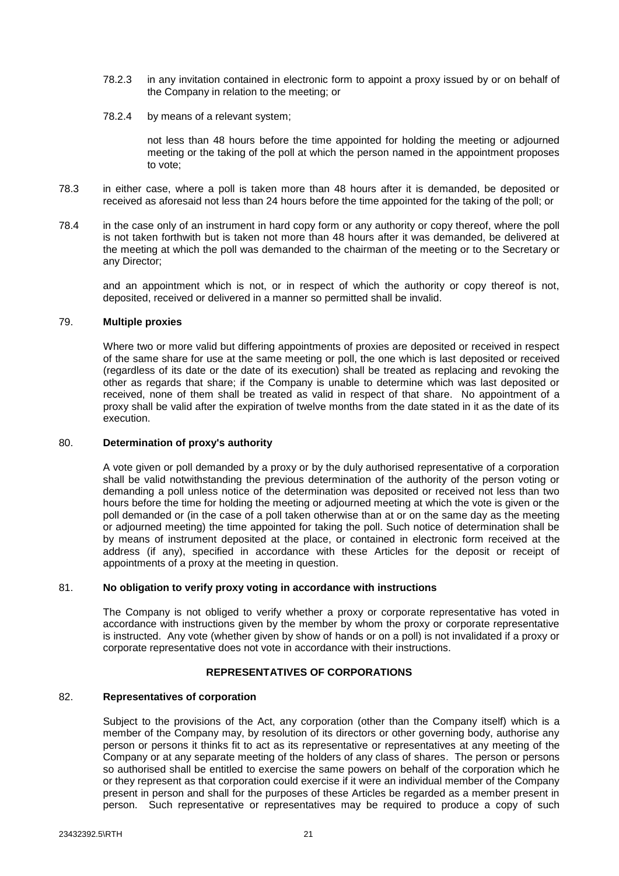- <span id="page-27-0"></span>78.2.3 in any invitation contained in electronic form to appoint a proxy issued by or on behalf of the Company in relation to the meeting; or
- 78.2.4 by means of a relevant system;

not less than 48 hours before the time appointed for holding the meeting or adjourned meeting or the taking of the poll at which the person named in the appointment proposes to vote;

- 78.3 in either case, where a poll is taken more than 48 hours after it is demanded, be deposited or received as aforesaid not less than 24 hours before the time appointed for the taking of the poll; or
- 78.4 in the case only of an instrument in hard copy form or any authority or copy thereof, where the poll is not taken forthwith but is taken not more than 48 hours after it was demanded, be delivered at the meeting at which the poll was demanded to the chairman of the meeting or to the Secretary or any Director;

and an appointment which is not, or in respect of which the authority or copy thereof is not, deposited, received or delivered in a manner so permitted shall be invalid.

## 79. **Multiple proxies**

Where two or more valid but differing appointments of proxies are deposited or received in respect of the same share for use at the same meeting or poll, the one which is last deposited or received (regardless of its date or the date of its execution) shall be treated as replacing and revoking the other as regards that share; if the Company is unable to determine which was last deposited or received, none of them shall be treated as valid in respect of that share. No appointment of a proxy shall be valid after the expiration of twelve months from the date stated in it as the date of its execution.

## 80. **Determination of proxy's authority**

A vote given or poll demanded by a proxy or by the duly authorised representative of a corporation shall be valid notwithstanding the previous determination of the authority of the person voting or demanding a poll unless notice of the determination was deposited or received not less than two hours before the time for holding the meeting or adjourned meeting at which the vote is given or the poll demanded or (in the case of a poll taken otherwise than at or on the same day as the meeting or adjourned meeting) the time appointed for taking the poll. Such notice of determination shall be by means of instrument deposited at the place, or contained in electronic form received at the address (if any), specified in accordance with these Articles for the deposit or receipt of appointments of a proxy at the meeting in question.

## 81. **No obligation to verify proxy voting in accordance with instructions**

The Company is not obliged to verify whether a proxy or corporate representative has voted in accordance with instructions given by the member by whom the proxy or corporate representative is instructed. Any vote (whether given by show of hands or on a poll) is not invalidated if a proxy or corporate representative does not vote in accordance with their instructions.

# **REPRESENTATIVES OF CORPORATIONS**

## 82. **Representatives of corporation**

Subject to the provisions of the Act, any corporation (other than the Company itself) which is a member of the Company may, by resolution of its directors or other governing body, authorise any person or persons it thinks fit to act as its representative or representatives at any meeting of the Company or at any separate meeting of the holders of any class of shares. The person or persons so authorised shall be entitled to exercise the same powers on behalf of the corporation which he or they represent as that corporation could exercise if it were an individual member of the Company present in person and shall for the purposes of these Articles be regarded as a member present in person. Such representative or representatives may be required to produce a copy of such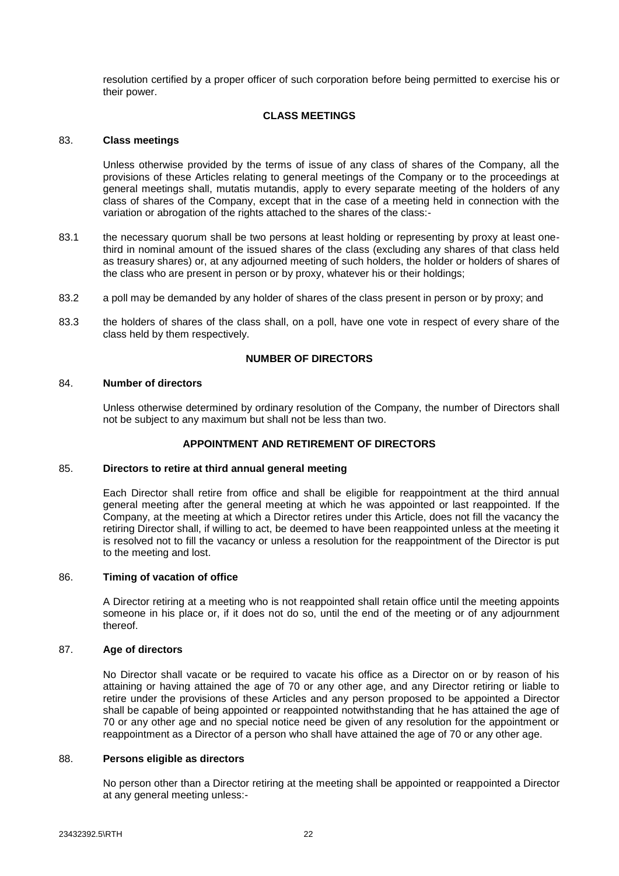<span id="page-28-0"></span>resolution certified by a proper officer of such corporation before being permitted to exercise his or their power.

## **CLASS MEETINGS**

## 83. **Class meetings**

Unless otherwise provided by the terms of issue of any class of shares of the Company, all the provisions of these Articles relating to general meetings of the Company or to the proceedings at general meetings shall, mutatis mutandis, apply to every separate meeting of the holders of any class of shares of the Company, except that in the case of a meeting held in connection with the variation or abrogation of the rights attached to the shares of the class:-

- 83.1 the necessary quorum shall be two persons at least holding or representing by proxy at least onethird in nominal amount of the issued shares of the class (excluding any shares of that class held as treasury shares) or, at any adjourned meeting of such holders, the holder or holders of shares of the class who are present in person or by proxy, whatever his or their holdings;
- 83.2 a poll may be demanded by any holder of shares of the class present in person or by proxy; and
- 83.3 the holders of shares of the class shall, on a poll, have one vote in respect of every share of the class held by them respectively.

## **NUMBER OF DIRECTORS**

## 84. **Number of directors**

Unless otherwise determined by ordinary resolution of the Company, the number of Directors shall not be subject to any maximum but shall not be less than two.

## **APPOINTMENT AND RETIREMENT OF DIRECTORS**

## 85. **Directors to retire at third annual general meeting**

Each Director shall retire from office and shall be eligible for reappointment at the third annual general meeting after the general meeting at which he was appointed or last reappointed. If the Company, at the meeting at which a Director retires under this Article, does not fill the vacancy the retiring Director shall, if willing to act, be deemed to have been reappointed unless at the meeting it is resolved not to fill the vacancy or unless a resolution for the reappointment of the Director is put to the meeting and lost.

## 86. **Timing of vacation of office**

A Director retiring at a meeting who is not reappointed shall retain office until the meeting appoints someone in his place or, if it does not do so, until the end of the meeting or of any adjournment thereof.

#### 87. **Age of directors**

No Director shall vacate or be required to vacate his office as a Director on or by reason of his attaining or having attained the age of 70 or any other age, and any Director retiring or liable to retire under the provisions of these Articles and any person proposed to be appointed a Director shall be capable of being appointed or reappointed notwithstanding that he has attained the age of 70 or any other age and no special notice need be given of any resolution for the appointment or reappointment as a Director of a person who shall have attained the age of 70 or any other age.

#### 88. **Persons eligible as directors**

No person other than a Director retiring at the meeting shall be appointed or reappointed a Director at any general meeting unless:-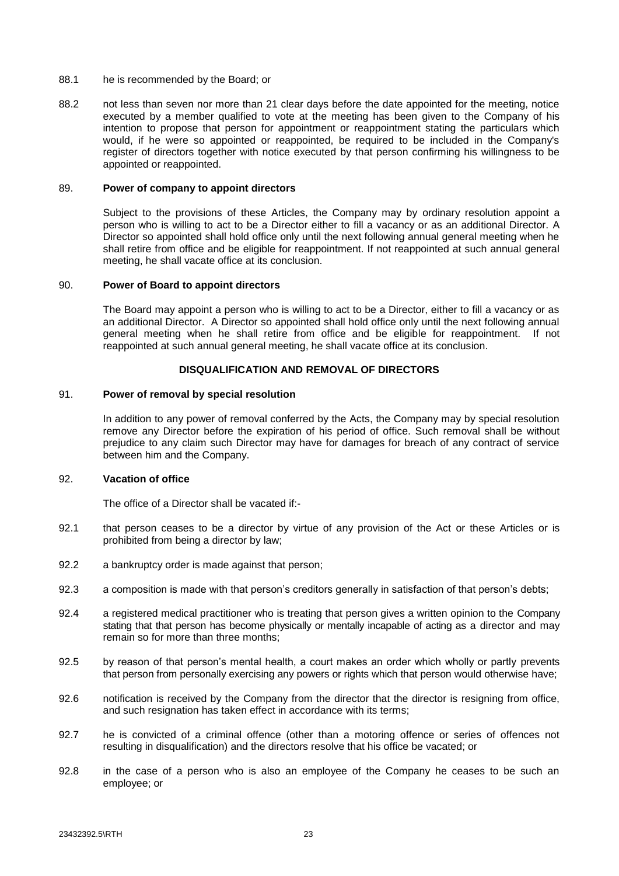#### <span id="page-29-0"></span>88.1 he is recommended by the Board; or

88.2 not less than seven nor more than 21 clear days before the date appointed for the meeting, notice executed by a member qualified to vote at the meeting has been given to the Company of his intention to propose that person for appointment or reappointment stating the particulars which would, if he were so appointed or reappointed, be required to be included in the Company's register of directors together with notice executed by that person confirming his willingness to be appointed or reappointed.

## 89. **Power of company to appoint directors**

Subject to the provisions of these Articles, the Company may by ordinary resolution appoint a person who is willing to act to be a Director either to fill a vacancy or as an additional Director. A Director so appointed shall hold office only until the next following annual general meeting when he shall retire from office and be eligible for reappointment. If not reappointed at such annual general meeting, he shall vacate office at its conclusion.

#### 90. **Power of Board to appoint directors**

The Board may appoint a person who is willing to act to be a Director, either to fill a vacancy or as an additional Director. A Director so appointed shall hold office only until the next following annual general meeting when he shall retire from office and be eligible for reappointment. If not reappointed at such annual general meeting, he shall vacate office at its conclusion.

## **DISQUALIFICATION AND REMOVAL OF DIRECTORS**

#### 91. **Power of removal by special resolution**

In addition to any power of removal conferred by the Acts, the Company may by special resolution remove any Director before the expiration of his period of office. Such removal shall be without prejudice to any claim such Director may have for damages for breach of any contract of service between him and the Company.

## 92. **Vacation of office**

The office of a Director shall be vacated if:-

- 92.1 that person ceases to be a director by virtue of any provision of the Act or these Articles or is prohibited from being a director by law;
- 92.2 a bankruptcy order is made against that person;
- 92.3 a composition is made with that person's creditors generally in satisfaction of that person's debts;
- 92.4 a registered medical practitioner who is treating that person gives a written opinion to the Company stating that that person has become physically or mentally incapable of acting as a director and may remain so for more than three months;
- 92.5 by reason of that person's mental health, a court makes an order which wholly or partly prevents that person from personally exercising any powers or rights which that person would otherwise have;
- 92.6 notification is received by the Company from the director that the director is resigning from office, and such resignation has taken effect in accordance with its terms:
- 92.7 he is convicted of a criminal offence (other than a motoring offence or series of offences not resulting in disqualification) and the directors resolve that his office be vacated; or
- 92.8 in the case of a person who is also an employee of the Company he ceases to be such an employee; or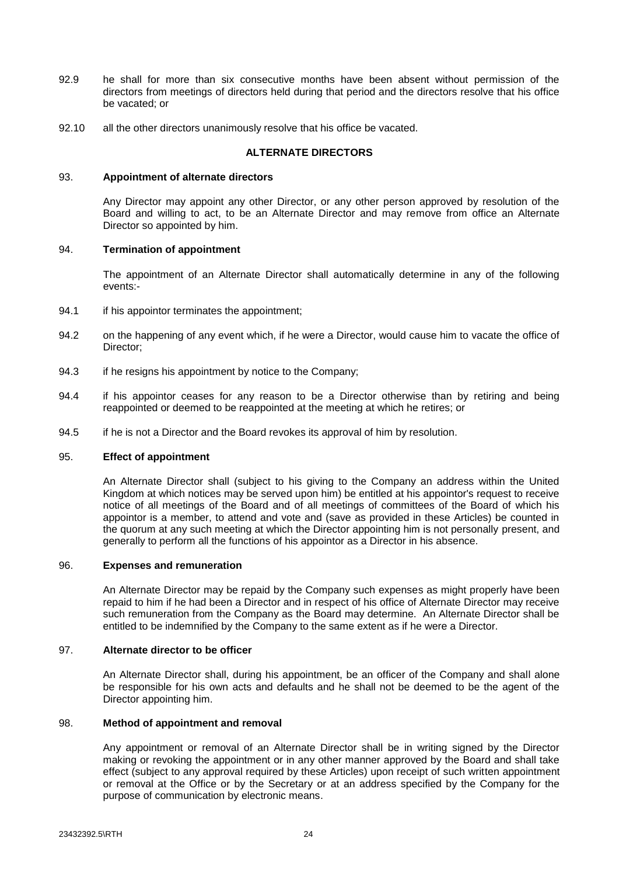- <span id="page-30-0"></span>92.9 he shall for more than six consecutive months have been absent without permission of the directors from meetings of directors held during that period and the directors resolve that his office be vacated; or
- 92.10 all the other directors unanimously resolve that his office be vacated.

## **ALTERNATE DIRECTORS**

## <span id="page-30-1"></span>93. **Appointment of alternate directors**

Any Director may appoint any other Director, or any other person approved by resolution of the Board and willing to act, to be an Alternate Director and may remove from office an Alternate Director so appointed by him.

#### 94. **Termination of appointment**

The appointment of an Alternate Director shall automatically determine in any of the following events:-

- 94.1 if his appointor terminates the appointment;
- 94.2 on the happening of any event which, if he were a Director, would cause him to vacate the office of Director;
- 94.3 if he resigns his appointment by notice to the Company;
- 94.4 if his appointor ceases for any reason to be a Director otherwise than by retiring and being reappointed or deemed to be reappointed at the meeting at which he retires; or
- 94.5 if he is not a Director and the Board revokes its approval of him by resolution.

## 95. **Effect of appointment**

An Alternate Director shall (subject to his giving to the Company an address within the United Kingdom at which notices may be served upon him) be entitled at his appointor's request to receive notice of all meetings of the Board and of all meetings of committees of the Board of which his appointor is a member, to attend and vote and (save as provided in these Articles) be counted in the quorum at any such meeting at which the Director appointing him is not personally present, and generally to perform all the functions of his appointor as a Director in his absence.

#### 96. **Expenses and remuneration**

An Alternate Director may be repaid by the Company such expenses as might properly have been repaid to him if he had been a Director and in respect of his office of Alternate Director may receive such remuneration from the Company as the Board may determine. An Alternate Director shall be entitled to be indemnified by the Company to the same extent as if he were a Director.

## 97. **Alternate director to be officer**

An Alternate Director shall, during his appointment, be an officer of the Company and shall alone be responsible for his own acts and defaults and he shall not be deemed to be the agent of the Director appointing him.

## 98. **Method of appointment and removal**

Any appointment or removal of an Alternate Director shall be in writing signed by the Director making or revoking the appointment or in any other manner approved by the Board and shall take effect (subject to any approval required by these Articles) upon receipt of such written appointment or removal at the Office or by the Secretary or at an address specified by the Company for the purpose of communication by electronic means.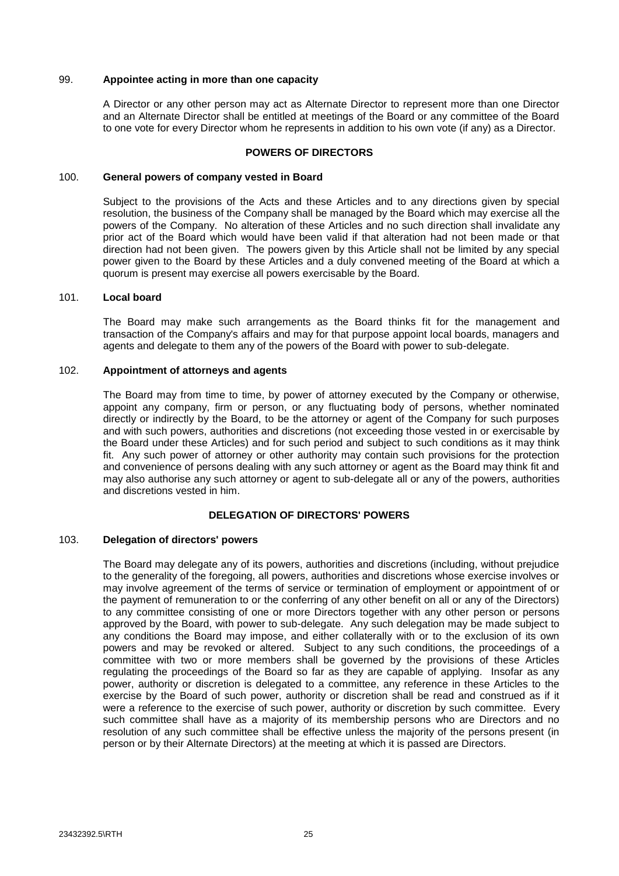## <span id="page-31-0"></span>99. **Appointee acting in more than one capacity**

A Director or any other person may act as Alternate Director to represent more than one Director and an Alternate Director shall be entitled at meetings of the Board or any committee of the Board to one vote for every Director whom he represents in addition to his own vote (if any) as a Director.

## **POWERS OF DIRECTORS**

## 100. **General powers of company vested in Board**

Subject to the provisions of the Acts and these Articles and to any directions given by special resolution, the business of the Company shall be managed by the Board which may exercise all the powers of the Company. No alteration of these Articles and no such direction shall invalidate any prior act of the Board which would have been valid if that alteration had not been made or that direction had not been given. The powers given by this Article shall not be limited by any special power given to the Board by these Articles and a duly convened meeting of the Board at which a quorum is present may exercise all powers exercisable by the Board.

## 101. **Local board**

The Board may make such arrangements as the Board thinks fit for the management and transaction of the Company's affairs and may for that purpose appoint local boards, managers and agents and delegate to them any of the powers of the Board with power to sub-delegate.

## 102. **Appointment of attorneys and agents**

The Board may from time to time, by power of attorney executed by the Company or otherwise, appoint any company, firm or person, or any fluctuating body of persons, whether nominated directly or indirectly by the Board, to be the attorney or agent of the Company for such purposes and with such powers, authorities and discretions (not exceeding those vested in or exercisable by the Board under these Articles) and for such period and subject to such conditions as it may think fit. Any such power of attorney or other authority may contain such provisions for the protection and convenience of persons dealing with any such attorney or agent as the Board may think fit and may also authorise any such attorney or agent to sub-delegate all or any of the powers, authorities and discretions vested in him.

# **DELEGATION OF DIRECTORS' POWERS**

## 103. **Delegation of directors' powers**

The Board may delegate any of its powers, authorities and discretions (including, without prejudice to the generality of the foregoing, all powers, authorities and discretions whose exercise involves or may involve agreement of the terms of service or termination of employment or appointment of or the payment of remuneration to or the conferring of any other benefit on all or any of the Directors) to any committee consisting of one or more Directors together with any other person or persons approved by the Board, with power to sub-delegate. Any such delegation may be made subject to any conditions the Board may impose, and either collaterally with or to the exclusion of its own powers and may be revoked or altered. Subject to any such conditions, the proceedings of a committee with two or more members shall be governed by the provisions of these Articles regulating the proceedings of the Board so far as they are capable of applying. Insofar as any power, authority or discretion is delegated to a committee, any reference in these Articles to the exercise by the Board of such power, authority or discretion shall be read and construed as if it were a reference to the exercise of such power, authority or discretion by such committee. Every such committee shall have as a majority of its membership persons who are Directors and no resolution of any such committee shall be effective unless the majority of the persons present (in person or by their Alternate Directors) at the meeting at which it is passed are Directors.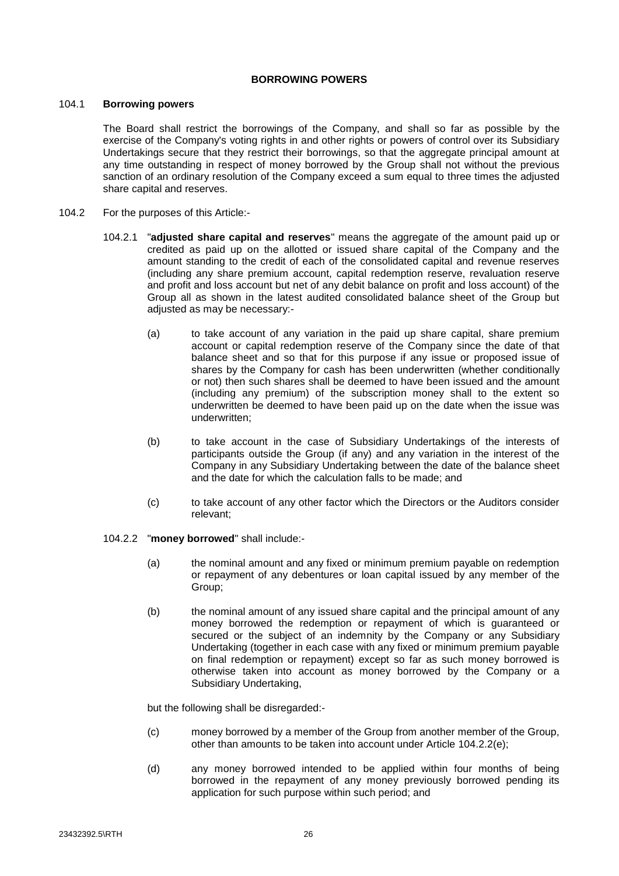## **BORROWING POWERS**

## <span id="page-32-0"></span>104.1 **Borrowing powers**

The Board shall restrict the borrowings of the Company, and shall so far as possible by the exercise of the Company's voting rights in and other rights or powers of control over its Subsidiary Undertakings secure that they restrict their borrowings, so that the aggregate principal amount at any time outstanding in respect of money borrowed by the Group shall not without the previous sanction of an ordinary resolution of the Company exceed a sum equal to three times the adjusted share capital and reserves.

- 104.2 For the purposes of this Article:-
	- 104.2.1 "**adjusted share capital and reserves**" means the aggregate of the amount paid up or credited as paid up on the allotted or issued share capital of the Company and the amount standing to the credit of each of the consolidated capital and revenue reserves (including any share premium account, capital redemption reserve, revaluation reserve and profit and loss account but net of any debit balance on profit and loss account) of the Group all as shown in the latest audited consolidated balance sheet of the Group but adjusted as may be necessary:-
		- (a) to take account of any variation in the paid up share capital, share premium account or capital redemption reserve of the Company since the date of that balance sheet and so that for this purpose if any issue or proposed issue of shares by the Company for cash has been underwritten (whether conditionally or not) then such shares shall be deemed to have been issued and the amount (including any premium) of the subscription money shall to the extent so underwritten be deemed to have been paid up on the date when the issue was underwritten;
		- (b) to take account in the case of Subsidiary Undertakings of the interests of participants outside the Group (if any) and any variation in the interest of the Company in any Subsidiary Undertaking between the date of the balance sheet and the date for which the calculation falls to be made; and
		- (c) to take account of any other factor which the Directors or the Auditors consider relevant;
	- 104.2.2 "**money borrowed**" shall include:-
		- (a) the nominal amount and any fixed or minimum premium payable on redemption or repayment of any debentures or loan capital issued by any member of the Group;
		- (b) the nominal amount of any issued share capital and the principal amount of any money borrowed the redemption or repayment of which is guaranteed or secured or the subject of an indemnity by the Company or any Subsidiary Undertaking (together in each case with any fixed or minimum premium payable on final redemption or repayment) except so far as such money borrowed is otherwise taken into account as money borrowed by the Company or a Subsidiary Undertaking,

<span id="page-32-1"></span>but the following shall be disregarded:-

- (c) money borrowed by a member of the Group from another member of the Group, other than amounts to be taken into account under Article [104.2.2\(e\);](#page-32-1)
- (d) any money borrowed intended to be applied within four months of being borrowed in the repayment of any money previously borrowed pending its application for such purpose within such period; and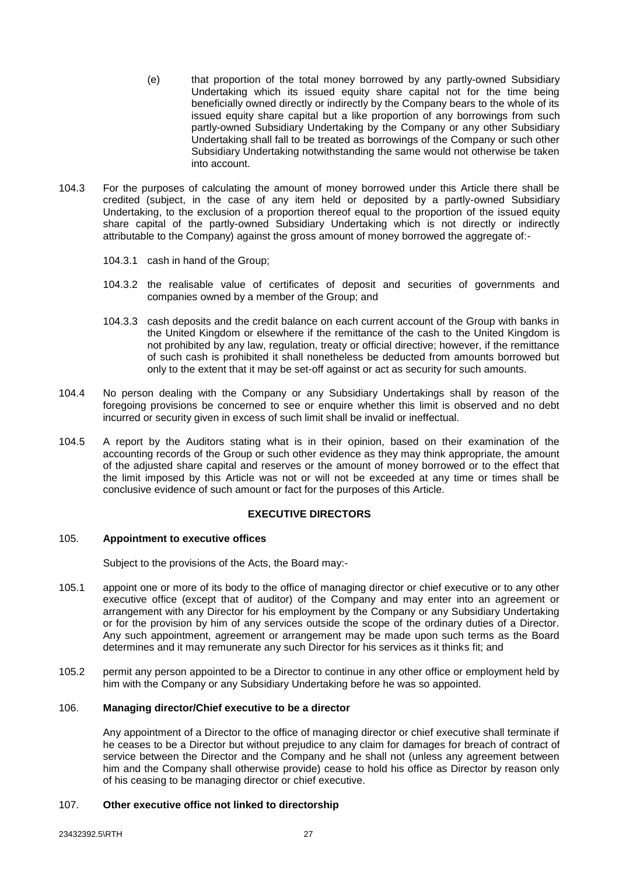- <span id="page-33-0"></span>(e) that proportion of the total money borrowed by any partly-owned Subsidiary Undertaking which its issued equity share capital not for the time being beneficially owned directly or indirectly by the Company bears to the whole of its issued equity share capital but a like proportion of any borrowings from such partly-owned Subsidiary Undertaking by the Company or any other Subsidiary Undertaking shall fall to be treated as borrowings of the Company or such other Subsidiary Undertaking notwithstanding the same would not otherwise be taken into account.
- 104.3 For the purposes of calculating the amount of money borrowed under this Article there shall be credited (subject, in the case of any item held or deposited by a partly-owned Subsidiary Undertaking, to the exclusion of a proportion thereof equal to the proportion of the issued equity share capital of the partly-owned Subsidiary Undertaking which is not directly or indirectly attributable to the Company) against the gross amount of money borrowed the aggregate of:-
	- 104.3.1 cash in hand of the Group;
	- 104.3.2 the realisable value of certificates of deposit and securities of governments and companies owned by a member of the Group; and
	- 104.3.3 cash deposits and the credit balance on each current account of the Group with banks in the United Kingdom or elsewhere if the remittance of the cash to the United Kingdom is not prohibited by any law, regulation, treaty or official directive; however, if the remittance of such cash is prohibited it shall nonetheless be deducted from amounts borrowed but only to the extent that it may be set-off against or act as security for such amounts.
- 104.4 No person dealing with the Company or any Subsidiary Undertakings shall by reason of the foregoing provisions be concerned to see or enquire whether this limit is observed and no debt incurred or security given in excess of such limit shall be invalid or ineffectual.
- 104.5 A report by the Auditors stating what is in their opinion, based on their examination of the accounting records of the Group or such other evidence as they may think appropriate, the amount of the adjusted share capital and reserves or the amount of money borrowed or to the effect that the limit imposed by this Article was not or will not be exceeded at any time or times shall be conclusive evidence of such amount or fact for the purposes of this Article.

## **EXECUTIVE DIRECTORS**

## <span id="page-33-1"></span>105. **Appointment to executive offices**

Subject to the provisions of the Acts, the Board may:-

- 105.1 appoint one or more of its body to the office of managing director or chief executive or to any other executive office (except that of auditor) of the Company and may enter into an agreement or arrangement with any Director for his employment by the Company or any Subsidiary Undertaking or for the provision by him of any services outside the scope of the ordinary duties of a Director. Any such appointment, agreement or arrangement may be made upon such terms as the Board determines and it may remunerate any such Director for his services as it thinks fit; and
- 105.2 permit any person appointed to be a Director to continue in any other office or employment held by him with the Company or any Subsidiary Undertaking before he was so appointed.

#### 106. **Managing director/Chief executive to be a director**

Any appointment of a Director to the office of managing director or chief executive shall terminate if he ceases to be a Director but without prejudice to any claim for damages for breach of contract of service between the Director and the Company and he shall not (unless any agreement between him and the Company shall otherwise provide) cease to hold his office as Director by reason only of his ceasing to be managing director or chief executive.

#### 107. **Other executive office not linked to directorship**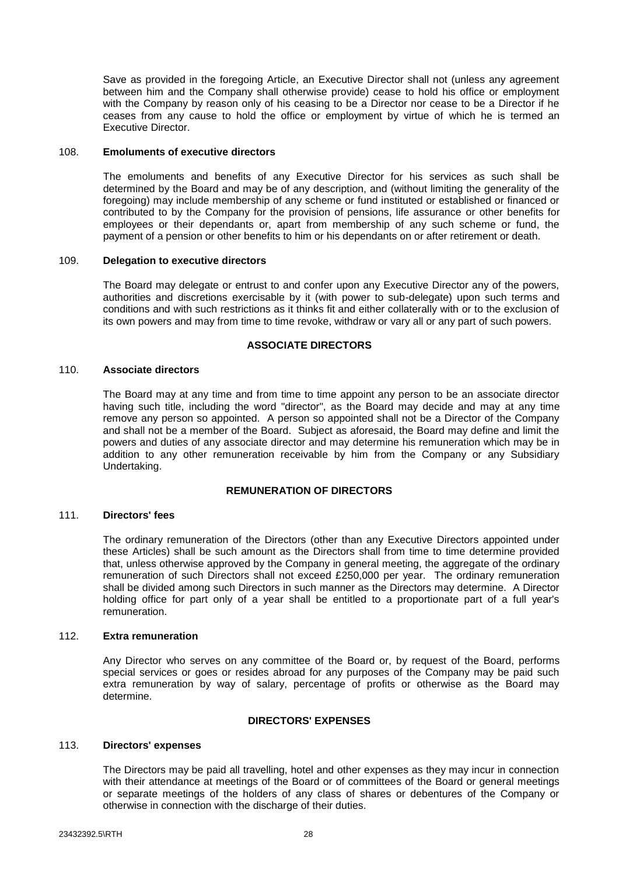<span id="page-34-0"></span>Save as provided in the foregoing Article, an Executive Director shall not (unless any agreement between him and the Company shall otherwise provide) cease to hold his office or employment with the Company by reason only of his ceasing to be a Director nor cease to be a Director if he ceases from any cause to hold the office or employment by virtue of which he is termed an Executive Director.

#### 108. **Emoluments of executive directors**

The emoluments and benefits of any Executive Director for his services as such shall be determined by the Board and may be of any description, and (without limiting the generality of the foregoing) may include membership of any scheme or fund instituted or established or financed or contributed to by the Company for the provision of pensions, life assurance or other benefits for employees or their dependants or, apart from membership of any such scheme or fund, the payment of a pension or other benefits to him or his dependants on or after retirement or death.

#### 109. **Delegation to executive directors**

The Board may delegate or entrust to and confer upon any Executive Director any of the powers, authorities and discretions exercisable by it (with power to sub-delegate) upon such terms and conditions and with such restrictions as it thinks fit and either collaterally with or to the exclusion of its own powers and may from time to time revoke, withdraw or vary all or any part of such powers.

## **ASSOCIATE DIRECTORS**

## 110. **Associate directors**

The Board may at any time and from time to time appoint any person to be an associate director having such title, including the word "director", as the Board may decide and may at any time remove any person so appointed. A person so appointed shall not be a Director of the Company and shall not be a member of the Board. Subject as aforesaid, the Board may define and limit the powers and duties of any associate director and may determine his remuneration which may be in addition to any other remuneration receivable by him from the Company or any Subsidiary Undertaking.

## **REMUNERATION OF DIRECTORS**

## 111. **Directors' fees**

The ordinary remuneration of the Directors (other than any Executive Directors appointed under these Articles) shall be such amount as the Directors shall from time to time determine provided that, unless otherwise approved by the Company in general meeting, the aggregate of the ordinary remuneration of such Directors shall not exceed £250,000 per year. The ordinary remuneration shall be divided among such Directors in such manner as the Directors may determine. A Director holding office for part only of a year shall be entitled to a proportionate part of a full year's remuneration.

## 112. **Extra remuneration**

Any Director who serves on any committee of the Board or, by request of the Board, performs special services or goes or resides abroad for any purposes of the Company may be paid such extra remuneration by way of salary, percentage of profits or otherwise as the Board may determine.

## **DIRECTORS' EXPENSES**

## 113. **Directors' expenses**

The Directors may be paid all travelling, hotel and other expenses as they may incur in connection with their attendance at meetings of the Board or of committees of the Board or general meetings or separate meetings of the holders of any class of shares or debentures of the Company or otherwise in connection with the discharge of their duties.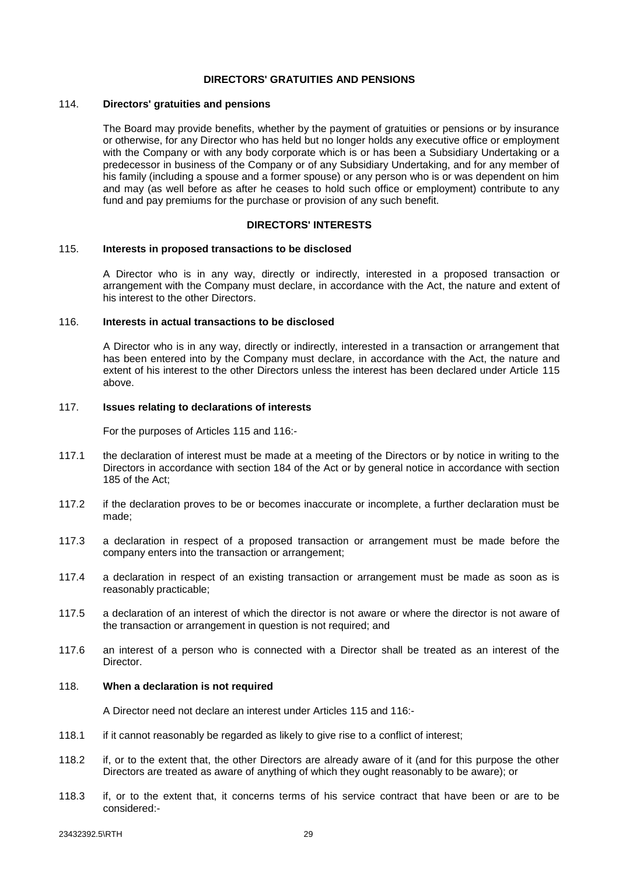### **DIRECTORS' GRATUITIES AND PENSIONS**

## <span id="page-35-0"></span>114. **Directors' gratuities and pensions**

The Board may provide benefits, whether by the payment of gratuities or pensions or by insurance or otherwise, for any Director who has held but no longer holds any executive office or employment with the Company or with any body corporate which is or has been a Subsidiary Undertaking or a predecessor in business of the Company or of any Subsidiary Undertaking, and for any member of his family (including a spouse and a former spouse) or any person who is or was dependent on him and may (as well before as after he ceases to hold such office or employment) contribute to any fund and pay premiums for the purchase or provision of any such benefit.

#### **DIRECTORS' INTERESTS**

#### <span id="page-35-1"></span>115. **Interests in proposed transactions to be disclosed**

A Director who is in any way, directly or indirectly, interested in a proposed transaction or arrangement with the Company must declare, in accordance with the Act, the nature and extent of his interest to the other Directors.

#### <span id="page-35-2"></span>116. **Interests in actual transactions to be disclosed**

A Director who is in any way, directly or indirectly, interested in a transaction or arrangement that has been entered into by the Company must declare, in accordance with the Act, the nature and extent of his interest to the other Directors unless the interest has been declared under Article [115](#page-35-1) above.

# 117. **Issues relating to declarations of interests**

For the purposes of Articles [115](#page-35-1) and [116:](#page-35-2)-

- 117.1 the declaration of interest must be made at a meeting of the Directors or by notice in writing to the Directors in accordance with section 184 of the Act or by general notice in accordance with section 185 of the Act;
- 117.2 if the declaration proves to be or becomes inaccurate or incomplete, a further declaration must be made;
- 117.3 a declaration in respect of a proposed transaction or arrangement must be made before the company enters into the transaction or arrangement;
- 117.4 a declaration in respect of an existing transaction or arrangement must be made as soon as is reasonably practicable;
- 117.5 a declaration of an interest of which the director is not aware or where the director is not aware of the transaction or arrangement in question is not required; and
- 117.6 an interest of a person who is connected with a Director shall be treated as an interest of the Director.

## 118. **When a declaration is not required**

A Director need not declare an interest under Articles [115](#page-35-1) and [116:](#page-35-2)-

- 118.1 if it cannot reasonably be regarded as likely to give rise to a conflict of interest;
- 118.2 if, or to the extent that, the other Directors are already aware of it (and for this purpose the other Directors are treated as aware of anything of which they ought reasonably to be aware); or
- 118.3 if, or to the extent that, it concerns terms of his service contract that have been or are to be considered:-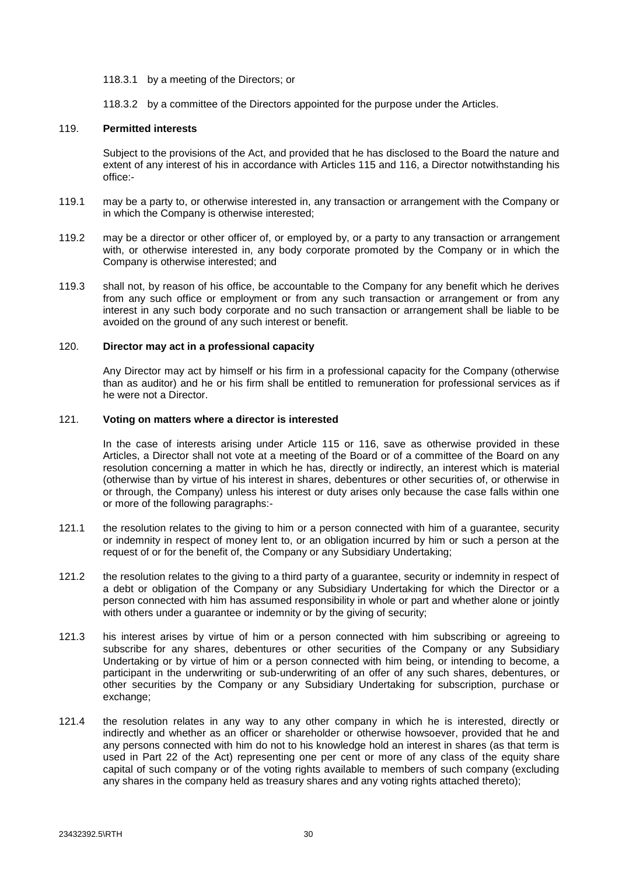- <span id="page-36-0"></span>118.3.1 by a meeting of the Directors; or
- 118.3.2 by a committee of the Directors appointed for the purpose under the Articles.

#### 119. **Permitted interests**

Subject to the provisions of the Act, and provided that he has disclosed to the Board the nature and extent of any interest of his in accordance with Articles [115](#page-35-1) and [116,](#page-35-2) a Director notwithstanding his office:-

- 119.1 may be a party to, or otherwise interested in, any transaction or arrangement with the Company or in which the Company is otherwise interested;
- 119.2 may be a director or other officer of, or employed by, or a party to any transaction or arrangement with, or otherwise interested in, any body corporate promoted by the Company or in which the Company is otherwise interested; and
- 119.3 shall not, by reason of his office, be accountable to the Company for any benefit which he derives from any such office or employment or from any such transaction or arrangement or from any interest in any such body corporate and no such transaction or arrangement shall be liable to be avoided on the ground of any such interest or benefit.

# 120. **Director may act in a professional capacity**

Any Director may act by himself or his firm in a professional capacity for the Company (otherwise than as auditor) and he or his firm shall be entitled to remuneration for professional services as if he were not a Director.

## 121. **Voting on matters where a director is interested**

In the case of interests arising under Article [115](#page-35-1) or [116,](#page-35-2) save as otherwise provided in these Articles, a Director shall not vote at a meeting of the Board or of a committee of the Board on any resolution concerning a matter in which he has, directly or indirectly, an interest which is material (otherwise than by virtue of his interest in shares, debentures or other securities of, or otherwise in or through, the Company) unless his interest or duty arises only because the case falls within one or more of the following paragraphs:-

- 121.1 the resolution relates to the giving to him or a person connected with him of a guarantee, security or indemnity in respect of money lent to, or an obligation incurred by him or such a person at the request of or for the benefit of, the Company or any Subsidiary Undertaking;
- 121.2 the resolution relates to the giving to a third party of a guarantee, security or indemnity in respect of a debt or obligation of the Company or any Subsidiary Undertaking for which the Director or a person connected with him has assumed responsibility in whole or part and whether alone or jointly with others under a quarantee or indemnity or by the giving of security;
- 121.3 his interest arises by virtue of him or a person connected with him subscribing or agreeing to subscribe for any shares, debentures or other securities of the Company or any Subsidiary Undertaking or by virtue of him or a person connected with him being, or intending to become, a participant in the underwriting or sub-underwriting of an offer of any such shares, debentures, or other securities by the Company or any Subsidiary Undertaking for subscription, purchase or exchange;
- 121.4 the resolution relates in any way to any other company in which he is interested, directly or indirectly and whether as an officer or shareholder or otherwise howsoever, provided that he and any persons connected with him do not to his knowledge hold an interest in shares (as that term is used in Part 22 of the Act) representing one per cent or more of any class of the equity share capital of such company or of the voting rights available to members of such company (excluding any shares in the company held as treasury shares and any voting rights attached thereto);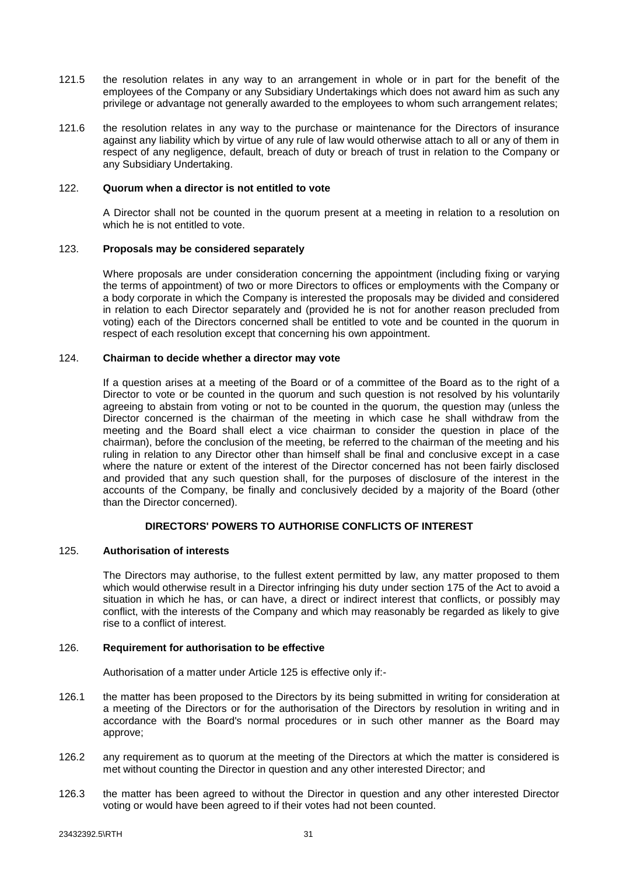- <span id="page-37-0"></span>121.5 the resolution relates in any way to an arrangement in whole or in part for the benefit of the employees of the Company or any Subsidiary Undertakings which does not award him as such any privilege or advantage not generally awarded to the employees to whom such arrangement relates;
- 121.6 the resolution relates in any way to the purchase or maintenance for the Directors of insurance against any liability which by virtue of any rule of law would otherwise attach to all or any of them in respect of any negligence, default, breach of duty or breach of trust in relation to the Company or any Subsidiary Undertaking.

## 122. **Quorum when a director is not entitled to vote**

A Director shall not be counted in the quorum present at a meeting in relation to a resolution on which he is not entitled to vote.

## 123. **Proposals may be considered separately**

Where proposals are under consideration concerning the appointment (including fixing or varying the terms of appointment) of two or more Directors to offices or employments with the Company or a body corporate in which the Company is interested the proposals may be divided and considered in relation to each Director separately and (provided he is not for another reason precluded from voting) each of the Directors concerned shall be entitled to vote and be counted in the quorum in respect of each resolution except that concerning his own appointment.

## 124. **Chairman to decide whether a director may vote**

If a question arises at a meeting of the Board or of a committee of the Board as to the right of a Director to vote or be counted in the quorum and such question is not resolved by his voluntarily agreeing to abstain from voting or not to be counted in the quorum, the question may (unless the Director concerned is the chairman of the meeting in which case he shall withdraw from the meeting and the Board shall elect a vice chairman to consider the question in place of the chairman), before the conclusion of the meeting, be referred to the chairman of the meeting and his ruling in relation to any Director other than himself shall be final and conclusive except in a case where the nature or extent of the interest of the Director concerned has not been fairly disclosed and provided that any such question shall, for the purposes of disclosure of the interest in the accounts of the Company, be finally and conclusively decided by a majority of the Board (other than the Director concerned).

## **DIRECTORS' POWERS TO AUTHORISE CONFLICTS OF INTEREST**

## <span id="page-37-1"></span>125. **Authorisation of interests**

The Directors may authorise, to the fullest extent permitted by law, any matter proposed to them which would otherwise result in a Director infringing his duty under section 175 of the Act to avoid a situation in which he has, or can have, a direct or indirect interest that conflicts, or possibly may conflict, with the interests of the Company and which may reasonably be regarded as likely to give rise to a conflict of interest.

## 126. **Requirement for authorisation to be effective**

Authorisation of a matter under Article [125](#page-37-1) is effective only if:-

- 126.1 the matter has been proposed to the Directors by its being submitted in writing for consideration at a meeting of the Directors or for the authorisation of the Directors by resolution in writing and in accordance with the Board's normal procedures or in such other manner as the Board may approve;
- 126.2 any requirement as to quorum at the meeting of the Directors at which the matter is considered is met without counting the Director in question and any other interested Director; and
- 126.3 the matter has been agreed to without the Director in question and any other interested Director voting or would have been agreed to if their votes had not been counted.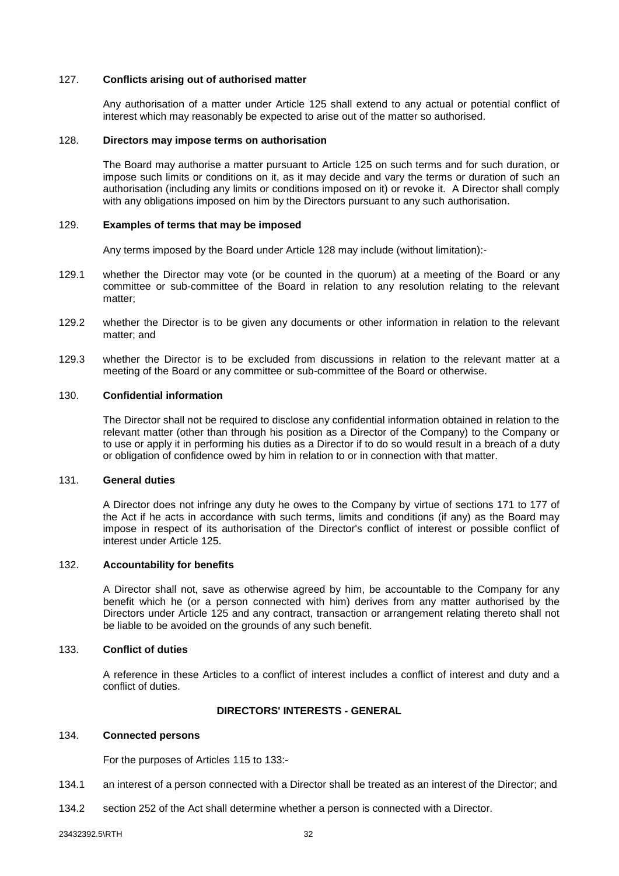### <span id="page-38-0"></span>127. **Conflicts arising out of authorised matter**

Any authorisation of a matter under Article [125](#page-37-1) shall extend to any actual or potential conflict of interest which may reasonably be expected to arise out of the matter so authorised.

#### <span id="page-38-1"></span>128. **Directors may impose terms on authorisation**

The Board may authorise a matter pursuant to Article [125](#page-37-1) on such terms and for such duration, or impose such limits or conditions on it, as it may decide and vary the terms or duration of such an authorisation (including any limits or conditions imposed on it) or revoke it. A Director shall comply with any obligations imposed on him by the Directors pursuant to any such authorisation.

### 129. **Examples of terms that may be imposed**

Any terms imposed by the Board under Article [128](#page-38-1) may include (without limitation):-

- 129.1 whether the Director may vote (or be counted in the quorum) at a meeting of the Board or any committee or sub-committee of the Board in relation to any resolution relating to the relevant matter;
- 129.2 whether the Director is to be given any documents or other information in relation to the relevant matter; and
- 129.3 whether the Director is to be excluded from discussions in relation to the relevant matter at a meeting of the Board or any committee or sub-committee of the Board or otherwise.

## 130. **Confidential information**

The Director shall not be required to disclose any confidential information obtained in relation to the relevant matter (other than through his position as a Director of the Company) to the Company or to use or apply it in performing his duties as a Director if to do so would result in a breach of a duty or obligation of confidence owed by him in relation to or in connection with that matter.

#### 131. **General duties**

A Director does not infringe any duty he owes to the Company by virtue of sections 171 to 177 of the Act if he acts in accordance with such terms, limits and conditions (if any) as the Board may impose in respect of its authorisation of the Director's conflict of interest or possible conflict of interest under Article [125.](#page-37-1)

## 132. **Accountability for benefits**

A Director shall not, save as otherwise agreed by him, be accountable to the Company for any benefit which he (or a person connected with him) derives from any matter authorised by the Directors under Article [125](#page-37-1) and any contract, transaction or arrangement relating thereto shall not be liable to be avoided on the grounds of any such benefit.

## <span id="page-38-2"></span>133. **Conflict of duties**

A reference in these Articles to a conflict of interest includes a conflict of interest and duty and a conflict of duties.

## **DIRECTORS' INTERESTS - GENERAL**

## 134. **Connected persons**

For the purposes of Articles [115](#page-35-1) to [133:](#page-38-2)-

- 134.1 an interest of a person connected with a Director shall be treated as an interest of the Director; and
- 134.2 section 252 of the Act shall determine whether a person is connected with a Director.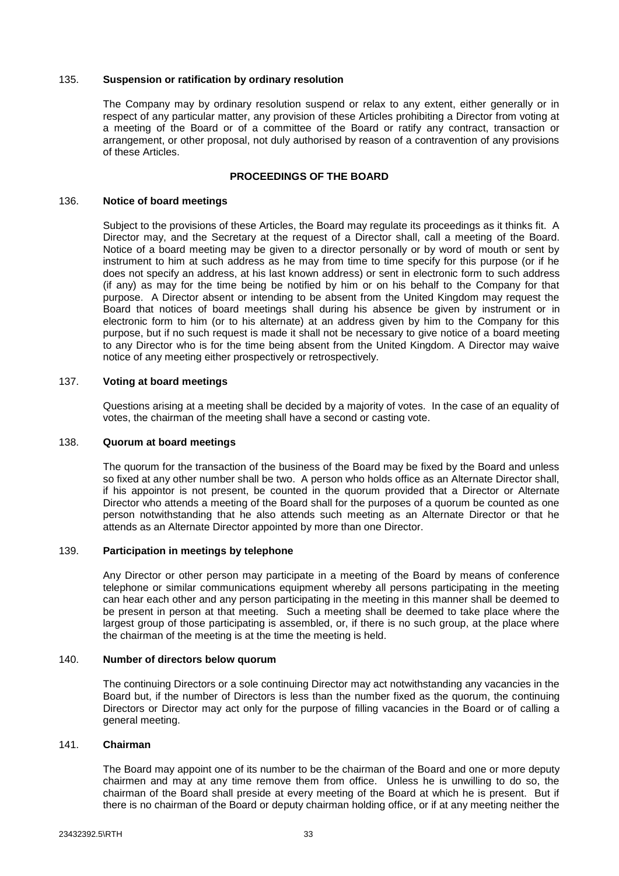### <span id="page-39-0"></span>135. **Suspension or ratification by ordinary resolution**

The Company may by ordinary resolution suspend or relax to any extent, either generally or in respect of any particular matter, any provision of these Articles prohibiting a Director from voting at a meeting of the Board or of a committee of the Board or ratify any contract, transaction or arrangement, or other proposal, not duly authorised by reason of a contravention of any provisions of these Articles.

# **PROCEEDINGS OF THE BOARD**

### 136. **Notice of board meetings**

Subject to the provisions of these Articles, the Board may regulate its proceedings as it thinks fit. A Director may, and the Secretary at the request of a Director shall, call a meeting of the Board. Notice of a board meeting may be given to a director personally or by word of mouth or sent by instrument to him at such address as he may from time to time specify for this purpose (or if he does not specify an address, at his last known address) or sent in electronic form to such address (if any) as may for the time being be notified by him or on his behalf to the Company for that purpose. A Director absent or intending to be absent from the United Kingdom may request the Board that notices of board meetings shall during his absence be given by instrument or in electronic form to him (or to his alternate) at an address given by him to the Company for this purpose, but if no such request is made it shall not be necessary to give notice of a board meeting to any Director who is for the time being absent from the United Kingdom. A Director may waive notice of any meeting either prospectively or retrospectively.

## 137. **Voting at board meetings**

Questions arising at a meeting shall be decided by a majority of votes. In the case of an equality of votes, the chairman of the meeting shall have a second or casting vote.

## 138. **Quorum at board meetings**

The quorum for the transaction of the business of the Board may be fixed by the Board and unless so fixed at any other number shall be two. A person who holds office as an Alternate Director shall, if his appointor is not present, be counted in the quorum provided that a Director or Alternate Director who attends a meeting of the Board shall for the purposes of a quorum be counted as one person notwithstanding that he also attends such meeting as an Alternate Director or that he attends as an Alternate Director appointed by more than one Director.

## 139. **Participation in meetings by telephone**

Any Director or other person may participate in a meeting of the Board by means of conference telephone or similar communications equipment whereby all persons participating in the meeting can hear each other and any person participating in the meeting in this manner shall be deemed to be present in person at that meeting. Such a meeting shall be deemed to take place where the largest group of those participating is assembled, or, if there is no such group, at the place where the chairman of the meeting is at the time the meeting is held.

## 140. **Number of directors below quorum**

The continuing Directors or a sole continuing Director may act notwithstanding any vacancies in the Board but, if the number of Directors is less than the number fixed as the quorum, the continuing Directors or Director may act only for the purpose of filling vacancies in the Board or of calling a general meeting.

## 141. **Chairman**

The Board may appoint one of its number to be the chairman of the Board and one or more deputy chairmen and may at any time remove them from office. Unless he is unwilling to do so, the chairman of the Board shall preside at every meeting of the Board at which he is present. But if there is no chairman of the Board or deputy chairman holding office, or if at any meeting neither the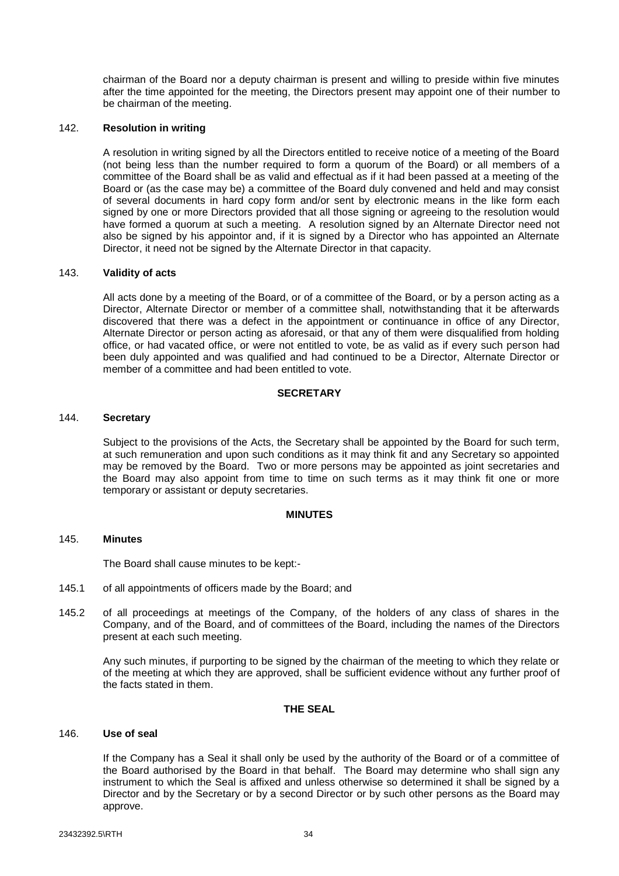<span id="page-40-0"></span>chairman of the Board nor a deputy chairman is present and willing to preside within five minutes after the time appointed for the meeting, the Directors present may appoint one of their number to be chairman of the meeting.

## 142. **Resolution in writing**

A resolution in writing signed by all the Directors entitled to receive notice of a meeting of the Board (not being less than the number required to form a quorum of the Board) or all members of a committee of the Board shall be as valid and effectual as if it had been passed at a meeting of the Board or (as the case may be) a committee of the Board duly convened and held and may consist of several documents in hard copy form and/or sent by electronic means in the like form each signed by one or more Directors provided that all those signing or agreeing to the resolution would have formed a quorum at such a meeting. A resolution signed by an Alternate Director need not also be signed by his appointor and, if it is signed by a Director who has appointed an Alternate Director, it need not be signed by the Alternate Director in that capacity.

## 143. **Validity of acts**

All acts done by a meeting of the Board, or of a committee of the Board, or by a person acting as a Director, Alternate Director or member of a committee shall, notwithstanding that it be afterwards discovered that there was a defect in the appointment or continuance in office of any Director, Alternate Director or person acting as aforesaid, or that any of them were disqualified from holding office, or had vacated office, or were not entitled to vote, be as valid as if every such person had been duly appointed and was qualified and had continued to be a Director, Alternate Director or member of a committee and had been entitled to vote.

## **SECRETARY**

#### 144. **Secretary**

Subject to the provisions of the Acts, the Secretary shall be appointed by the Board for such term, at such remuneration and upon such conditions as it may think fit and any Secretary so appointed may be removed by the Board. Two or more persons may be appointed as joint secretaries and the Board may also appoint from time to time on such terms as it may think fit one or more temporary or assistant or deputy secretaries.

## **MINUTES**

## 145. **Minutes**

The Board shall cause minutes to be kept:-

- 145.1 of all appointments of officers made by the Board; and
- 145.2 of all proceedings at meetings of the Company, of the holders of any class of shares in the Company, and of the Board, and of committees of the Board, including the names of the Directors present at each such meeting.

Any such minutes, if purporting to be signed by the chairman of the meeting to which they relate or of the meeting at which they are approved, shall be sufficient evidence without any further proof of the facts stated in them.

## **THE SEAL**

## 146. **Use of seal**

If the Company has a Seal it shall only be used by the authority of the Board or of a committee of the Board authorised by the Board in that behalf. The Board may determine who shall sign any instrument to which the Seal is affixed and unless otherwise so determined it shall be signed by a Director and by the Secretary or by a second Director or by such other persons as the Board may approve.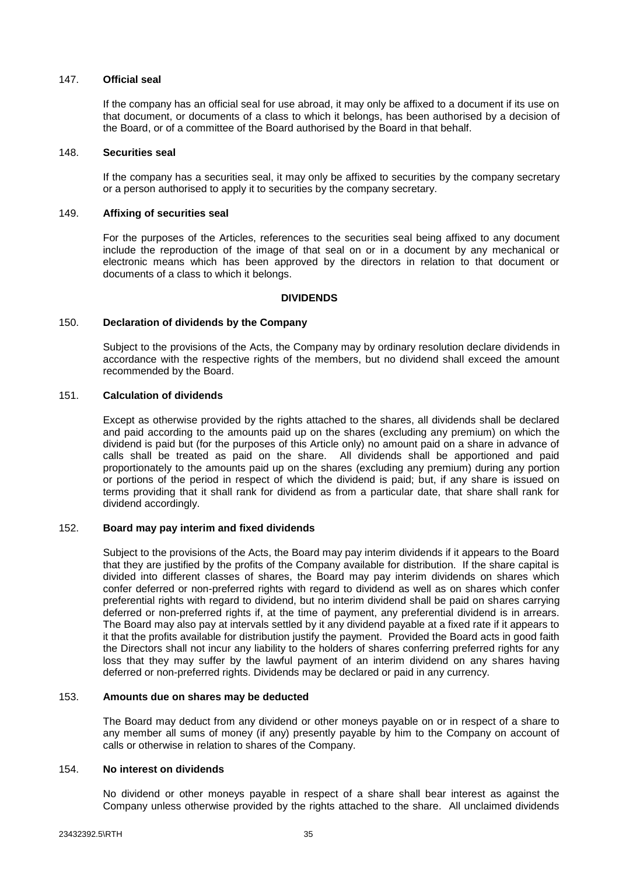## <span id="page-41-0"></span>147. **Official seal**

If the company has an official seal for use abroad, it may only be affixed to a document if its use on that document, or documents of a class to which it belongs, has been authorised by a decision of the Board, or of a committee of the Board authorised by the Board in that behalf.

#### 148. **Securities seal**

If the company has a securities seal, it may only be affixed to securities by the company secretary or a person authorised to apply it to securities by the company secretary.

#### 149. **Affixing of securities seal**

For the purposes of the Articles, references to the securities seal being affixed to any document include the reproduction of the image of that seal on or in a document by any mechanical or electronic means which has been approved by the directors in relation to that document or documents of a class to which it belongs.

## **DIVIDENDS**

#### 150. **Declaration of dividends by the Company**

Subject to the provisions of the Acts, the Company may by ordinary resolution declare dividends in accordance with the respective rights of the members, but no dividend shall exceed the amount recommended by the Board.

## 151. **Calculation of dividends**

Except as otherwise provided by the rights attached to the shares, all dividends shall be declared and paid according to the amounts paid up on the shares (excluding any premium) on which the dividend is paid but (for the purposes of this Article only) no amount paid on a share in advance of calls shall be treated as paid on the share. All dividends shall be apportioned and paid proportionately to the amounts paid up on the shares (excluding any premium) during any portion or portions of the period in respect of which the dividend is paid; but, if any share is issued on terms providing that it shall rank for dividend as from a particular date, that share shall rank for dividend accordingly.

## 152. **Board may pay interim and fixed dividends**

Subject to the provisions of the Acts, the Board may pay interim dividends if it appears to the Board that they are justified by the profits of the Company available for distribution. If the share capital is divided into different classes of shares, the Board may pay interim dividends on shares which confer deferred or non-preferred rights with regard to dividend as well as on shares which confer preferential rights with regard to dividend, but no interim dividend shall be paid on shares carrying deferred or non-preferred rights if, at the time of payment, any preferential dividend is in arrears. The Board may also pay at intervals settled by it any dividend payable at a fixed rate if it appears to it that the profits available for distribution justify the payment. Provided the Board acts in good faith the Directors shall not incur any liability to the holders of shares conferring preferred rights for any loss that they may suffer by the lawful payment of an interim dividend on any shares having deferred or non-preferred rights. Dividends may be declared or paid in any currency.

#### 153. **Amounts due on shares may be deducted**

The Board may deduct from any dividend or other moneys payable on or in respect of a share to any member all sums of money (if any) presently payable by him to the Company on account of calls or otherwise in relation to shares of the Company.

## 154. **No interest on dividends**

No dividend or other moneys payable in respect of a share shall bear interest as against the Company unless otherwise provided by the rights attached to the share. All unclaimed dividends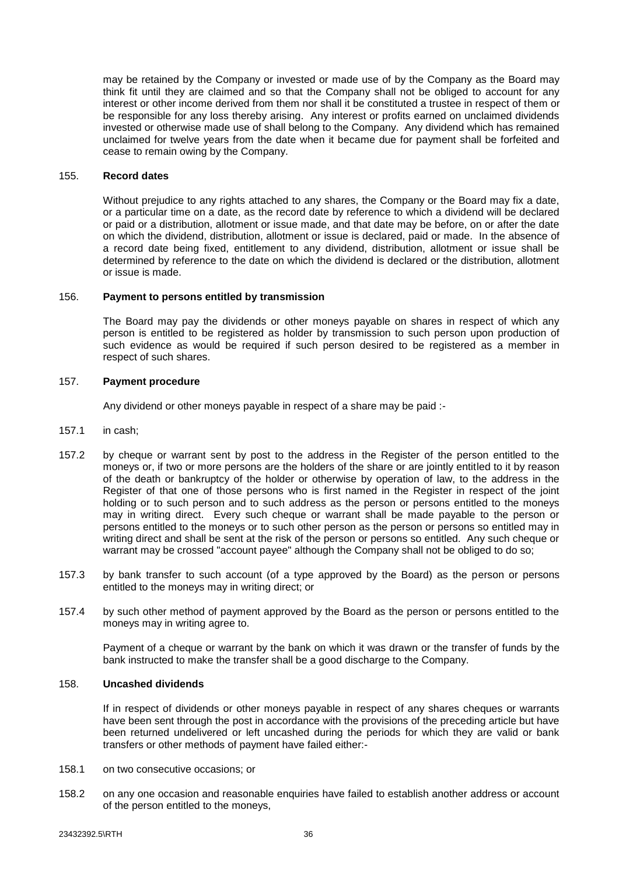<span id="page-42-0"></span>may be retained by the Company or invested or made use of by the Company as the Board may think fit until they are claimed and so that the Company shall not be obliged to account for any interest or other income derived from them nor shall it be constituted a trustee in respect of them or be responsible for any loss thereby arising. Any interest or profits earned on unclaimed dividends invested or otherwise made use of shall belong to the Company. Any dividend which has remained unclaimed for twelve years from the date when it became due for payment shall be forfeited and cease to remain owing by the Company.

## 155. **Record dates**

Without prejudice to any rights attached to any shares, the Company or the Board may fix a date, or a particular time on a date, as the record date by reference to which a dividend will be declared or paid or a distribution, allotment or issue made, and that date may be before, on or after the date on which the dividend, distribution, allotment or issue is declared, paid or made. In the absence of a record date being fixed, entitlement to any dividend, distribution, allotment or issue shall be determined by reference to the date on which the dividend is declared or the distribution, allotment or issue is made.

## 156. **Payment to persons entitled by transmission**

The Board may pay the dividends or other moneys payable on shares in respect of which any person is entitled to be registered as holder by transmission to such person upon production of such evidence as would be required if such person desired to be registered as a member in respect of such shares.

## 157. **Payment procedure**

Any dividend or other moneys payable in respect of a share may be paid :-

- 157.1 in cash;
- 157.2 by cheque or warrant sent by post to the address in the Register of the person entitled to the moneys or, if two or more persons are the holders of the share or are jointly entitled to it by reason of the death or bankruptcy of the holder or otherwise by operation of law, to the address in the Register of that one of those persons who is first named in the Register in respect of the joint holding or to such person and to such address as the person or persons entitled to the moneys may in writing direct. Every such cheque or warrant shall be made payable to the person or persons entitled to the moneys or to such other person as the person or persons so entitled may in writing direct and shall be sent at the risk of the person or persons so entitled. Any such cheque or warrant may be crossed "account payee" although the Company shall not be obliged to do so;
- 157.3 by bank transfer to such account (of a type approved by the Board) as the person or persons entitled to the moneys may in writing direct; or
- 157.4 by such other method of payment approved by the Board as the person or persons entitled to the moneys may in writing agree to.

Payment of a cheque or warrant by the bank on which it was drawn or the transfer of funds by the bank instructed to make the transfer shall be a good discharge to the Company.

## 158. **Uncashed dividends**

If in respect of dividends or other moneys payable in respect of any shares cheques or warrants have been sent through the post in accordance with the provisions of the preceding article but have been returned undelivered or left uncashed during the periods for which they are valid or bank transfers or other methods of payment have failed either:-

- 158.1 on two consecutive occasions; or
- 158.2 on any one occasion and reasonable enquiries have failed to establish another address or account of the person entitled to the moneys,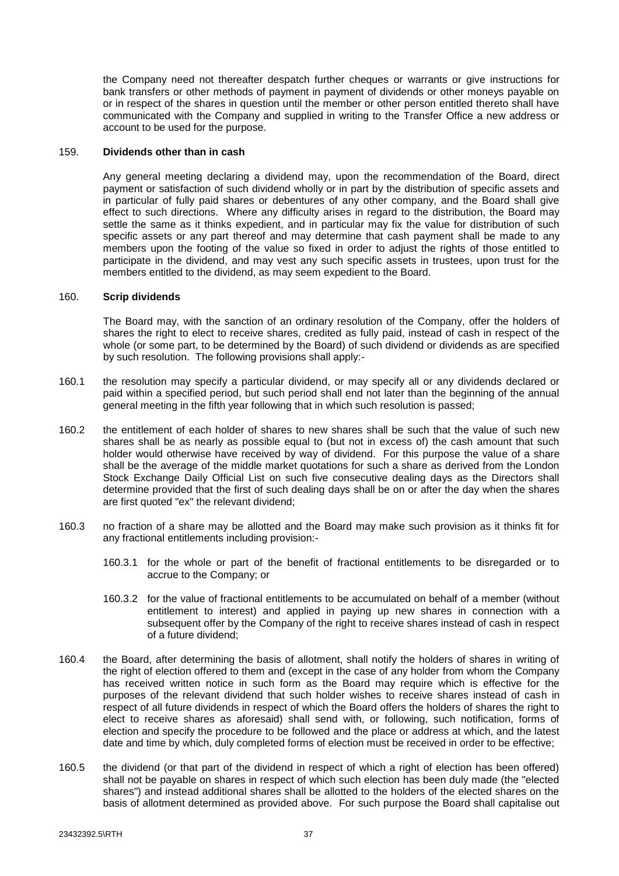<span id="page-43-0"></span>the Company need not thereafter despatch further cheques or warrants or give instructions for bank transfers or other methods of payment in payment of dividends or other moneys payable on or in respect of the shares in question until the member or other person entitled thereto shall have communicated with the Company and supplied in writing to the Transfer Office a new address or account to be used for the purpose.

#### 159. **Dividends other than in cash**

Any general meeting declaring a dividend may, upon the recommendation of the Board, direct payment or satisfaction of such dividend wholly or in part by the distribution of specific assets and in particular of fully paid shares or debentures of any other company, and the Board shall give effect to such directions. Where any difficulty arises in regard to the distribution, the Board may settle the same as it thinks expedient, and in particular may fix the value for distribution of such specific assets or any part thereof and may determine that cash payment shall be made to any members upon the footing of the value so fixed in order to adjust the rights of those entitled to participate in the dividend, and may vest any such specific assets in trustees, upon trust for the members entitled to the dividend, as may seem expedient to the Board.

#### 160. **Scrip dividends**

The Board may, with the sanction of an ordinary resolution of the Company, offer the holders of shares the right to elect to receive shares, credited as fully paid, instead of cash in respect of the whole (or some part, to be determined by the Board) of such dividend or dividends as are specified by such resolution. The following provisions shall apply:-

- 160.1 the resolution may specify a particular dividend, or may specify all or any dividends declared or paid within a specified period, but such period shall end not later than the beginning of the annual general meeting in the fifth year following that in which such resolution is passed;
- 160.2 the entitlement of each holder of shares to new shares shall be such that the value of such new shares shall be as nearly as possible equal to (but not in excess of) the cash amount that such holder would otherwise have received by way of dividend. For this purpose the value of a share shall be the average of the middle market quotations for such a share as derived from the London Stock Exchange Daily Official List on such five consecutive dealing days as the Directors shall determine provided that the first of such dealing days shall be on or after the day when the shares are first quoted "ex" the relevant dividend;
- 160.3 no fraction of a share may be allotted and the Board may make such provision as it thinks fit for any fractional entitlements including provision:-
	- 160.3.1 for the whole or part of the benefit of fractional entitlements to be disregarded or to accrue to the Company; or
	- 160.3.2 for the value of fractional entitlements to be accumulated on behalf of a member (without entitlement to interest) and applied in paying up new shares in connection with a subsequent offer by the Company of the right to receive shares instead of cash in respect of a future dividend;
- 160.4 the Board, after determining the basis of allotment, shall notify the holders of shares in writing of the right of election offered to them and (except in the case of any holder from whom the Company has received written notice in such form as the Board may require which is effective for the purposes of the relevant dividend that such holder wishes to receive shares instead of cash in respect of all future dividends in respect of which the Board offers the holders of shares the right to elect to receive shares as aforesaid) shall send with, or following, such notification, forms of election and specify the procedure to be followed and the place or address at which, and the latest date and time by which, duly completed forms of election must be received in order to be effective;
- 160.5 the dividend (or that part of the dividend in respect of which a right of election has been offered) shall not be payable on shares in respect of which such election has been duly made (the "elected shares") and instead additional shares shall be allotted to the holders of the elected shares on the basis of allotment determined as provided above. For such purpose the Board shall capitalise out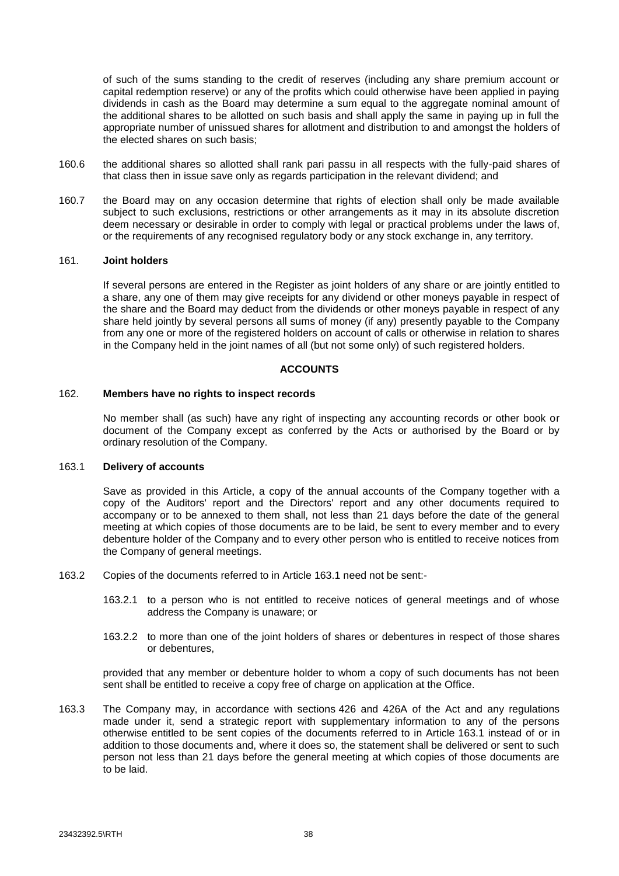<span id="page-44-0"></span>of such of the sums standing to the credit of reserves (including any share premium account or capital redemption reserve) or any of the profits which could otherwise have been applied in paying dividends in cash as the Board may determine a sum equal to the aggregate nominal amount of the additional shares to be allotted on such basis and shall apply the same in paying up in full the appropriate number of unissued shares for allotment and distribution to and amongst the holders of the elected shares on such basis;

- 160.6 the additional shares so allotted shall rank pari passu in all respects with the fully-paid shares of that class then in issue save only as regards participation in the relevant dividend; and
- 160.7 the Board may on any occasion determine that rights of election shall only be made available subject to such exclusions, restrictions or other arrangements as it may in its absolute discretion deem necessary or desirable in order to comply with legal or practical problems under the laws of, or the requirements of any recognised regulatory body or any stock exchange in, any territory.

#### 161. **Joint holders**

If several persons are entered in the Register as joint holders of any share or are jointly entitled to a share, any one of them may give receipts for any dividend or other moneys payable in respect of the share and the Board may deduct from the dividends or other moneys payable in respect of any share held jointly by several persons all sums of money (if any) presently payable to the Company from any one or more of the registered holders on account of calls or otherwise in relation to shares in the Company held in the joint names of all (but not some only) of such registered holders.

#### **ACCOUNTS**

#### 162. **Members have no rights to inspect records**

No member shall (as such) have any right of inspecting any accounting records or other book or document of the Company except as conferred by the Acts or authorised by the Board or by ordinary resolution of the Company.

#### <span id="page-44-1"></span>163.1 **Delivery of accounts**

Save as provided in this Article, a copy of the annual accounts of the Company together with a copy of the Auditors' report and the Directors' report and any other documents required to accompany or to be annexed to them shall, not less than 21 days before the date of the general meeting at which copies of those documents are to be laid, be sent to every member and to every debenture holder of the Company and to every other person who is entitled to receive notices from the Company of general meetings.

- 163.2 Copies of the documents referred to in Article [163.1](#page-44-1) need not be sent:-
	- 163.2.1 to a person who is not entitled to receive notices of general meetings and of whose address the Company is unaware; or
	- 163.2.2 to more than one of the joint holders of shares or debentures in respect of those shares or debentures,

provided that any member or debenture holder to whom a copy of such documents has not been sent shall be entitled to receive a copy free of charge on application at the Office.

163.3 The Company may, in accordance with sections 426 and 426A of the Act and any regulations made under it, send a strategic report with supplementary information to any of the persons otherwise entitled to be sent copies of the documents referred to in Article [163.1](#page-44-1) instead of or in addition to those documents and, where it does so, the statement shall be delivered or sent to such person not less than 21 days before the general meeting at which copies of those documents are to be laid.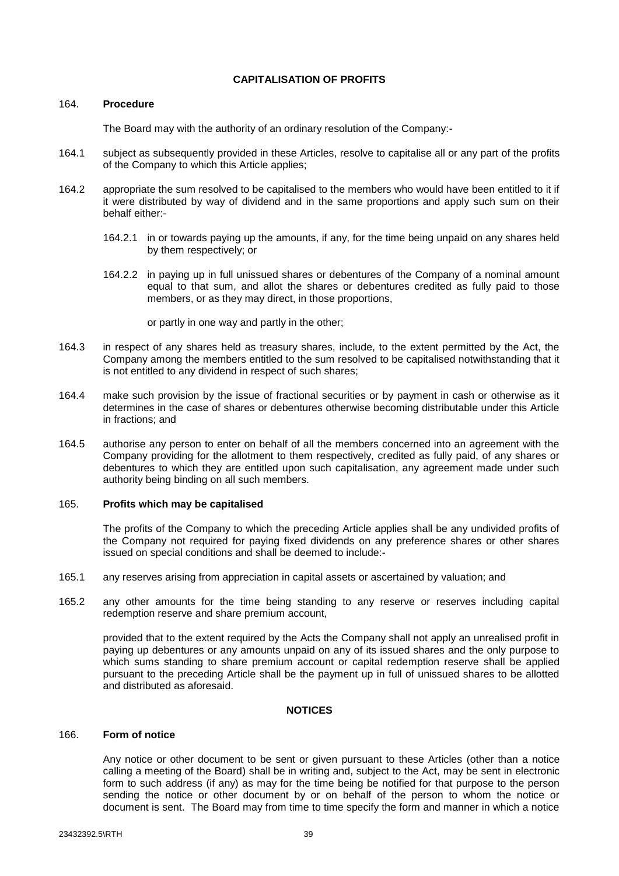## **CAPITALISATION OF PROFITS**

## <span id="page-45-0"></span>164. **Procedure**

The Board may with the authority of an ordinary resolution of the Company:-

- 164.1 subject as subsequently provided in these Articles, resolve to capitalise all or any part of the profits of the Company to which this Article applies;
- 164.2 appropriate the sum resolved to be capitalised to the members who would have been entitled to it if it were distributed by way of dividend and in the same proportions and apply such sum on their behalf either:-
	- 164.2.1 in or towards paying up the amounts, if any, for the time being unpaid on any shares held by them respectively; or
	- 164.2.2 in paying up in full unissued shares or debentures of the Company of a nominal amount equal to that sum, and allot the shares or debentures credited as fully paid to those members, or as they may direct, in those proportions,

or partly in one way and partly in the other;

- 164.3 in respect of any shares held as treasury shares, include, to the extent permitted by the Act, the Company among the members entitled to the sum resolved to be capitalised notwithstanding that it is not entitled to any dividend in respect of such shares;
- 164.4 make such provision by the issue of fractional securities or by payment in cash or otherwise as it determines in the case of shares or debentures otherwise becoming distributable under this Article in fractions; and
- 164.5 authorise any person to enter on behalf of all the members concerned into an agreement with the Company providing for the allotment to them respectively, credited as fully paid, of any shares or debentures to which they are entitled upon such capitalisation, any agreement made under such authority being binding on all such members.

## 165. **Profits which may be capitalised**

The profits of the Company to which the preceding Article applies shall be any undivided profits of the Company not required for paying fixed dividends on any preference shares or other shares issued on special conditions and shall be deemed to include:-

- 165.1 any reserves arising from appreciation in capital assets or ascertained by valuation; and
- 165.2 any other amounts for the time being standing to any reserve or reserves including capital redemption reserve and share premium account,

provided that to the extent required by the Acts the Company shall not apply an unrealised profit in paying up debentures or any amounts unpaid on any of its issued shares and the only purpose to which sums standing to share premium account or capital redemption reserve shall be applied pursuant to the preceding Article shall be the payment up in full of unissued shares to be allotted and distributed as aforesaid.

## **NOTICES**

# 166. **Form of notice**

Any notice or other document to be sent or given pursuant to these Articles (other than a notice calling a meeting of the Board) shall be in writing and, subject to the Act, may be sent in electronic form to such address (if any) as may for the time being be notified for that purpose to the person sending the notice or other document by or on behalf of the person to whom the notice or document is sent. The Board may from time to time specify the form and manner in which a notice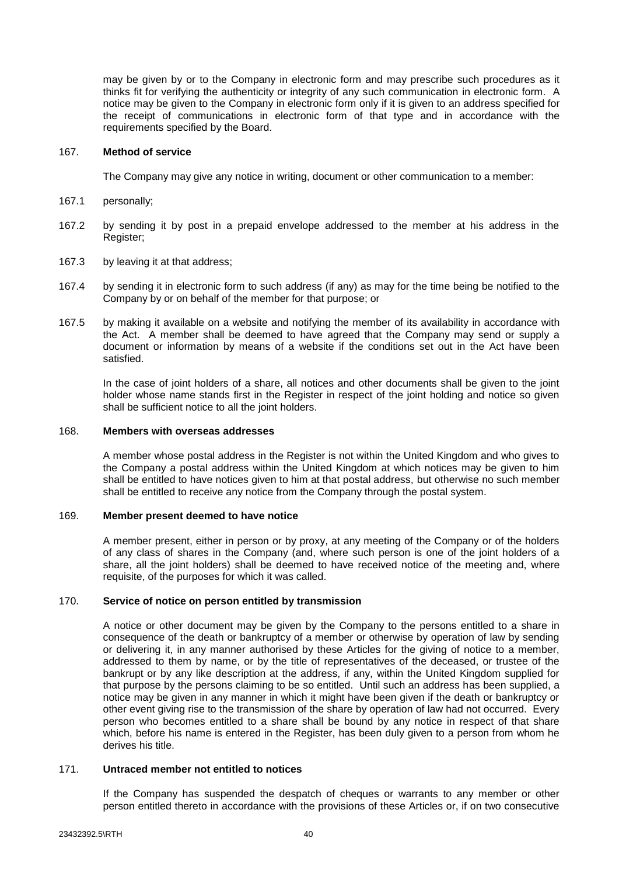<span id="page-46-0"></span>may be given by or to the Company in electronic form and may prescribe such procedures as it thinks fit for verifying the authenticity or integrity of any such communication in electronic form. A notice may be given to the Company in electronic form only if it is given to an address specified for the receipt of communications in electronic form of that type and in accordance with the requirements specified by the Board.

## 167. **Method of service**

The Company may give any notice in writing, document or other communication to a member:

- 167.1 personally;
- 167.2 by sending it by post in a prepaid envelope addressed to the member at his address in the Register;
- 167.3 by leaving it at that address;
- 167.4 by sending it in electronic form to such address (if any) as may for the time being be notified to the Company by or on behalf of the member for that purpose; or
- 167.5 by making it available on a website and notifying the member of its availability in accordance with the Act. A member shall be deemed to have agreed that the Company may send or supply a document or information by means of a website if the conditions set out in the Act have been satisfied.

In the case of joint holders of a share, all notices and other documents shall be given to the joint holder whose name stands first in the Register in respect of the joint holding and notice so given shall be sufficient notice to all the joint holders.

#### 168. **Members with overseas addresses**

A member whose postal address in the Register is not within the United Kingdom and who gives to the Company a postal address within the United Kingdom at which notices may be given to him shall be entitled to have notices given to him at that postal address, but otherwise no such member shall be entitled to receive any notice from the Company through the postal system.

## 169. **Member present deemed to have notice**

A member present, either in person or by proxy, at any meeting of the Company or of the holders of any class of shares in the Company (and, where such person is one of the joint holders of a share, all the joint holders) shall be deemed to have received notice of the meeting and, where requisite, of the purposes for which it was called.

## 170. **Service of notice on person entitled by transmission**

A notice or other document may be given by the Company to the persons entitled to a share in consequence of the death or bankruptcy of a member or otherwise by operation of law by sending or delivering it, in any manner authorised by these Articles for the giving of notice to a member, addressed to them by name, or by the title of representatives of the deceased, or trustee of the bankrupt or by any like description at the address, if any, within the United Kingdom supplied for that purpose by the persons claiming to be so entitled. Until such an address has been supplied, a notice may be given in any manner in which it might have been given if the death or bankruptcy or other event giving rise to the transmission of the share by operation of law had not occurred. Every person who becomes entitled to a share shall be bound by any notice in respect of that share which, before his name is entered in the Register, has been duly given to a person from whom he derives his title.

# 171. **Untraced member not entitled to notices**

If the Company has suspended the despatch of cheques or warrants to any member or other person entitled thereto in accordance with the provisions of these Articles or, if on two consecutive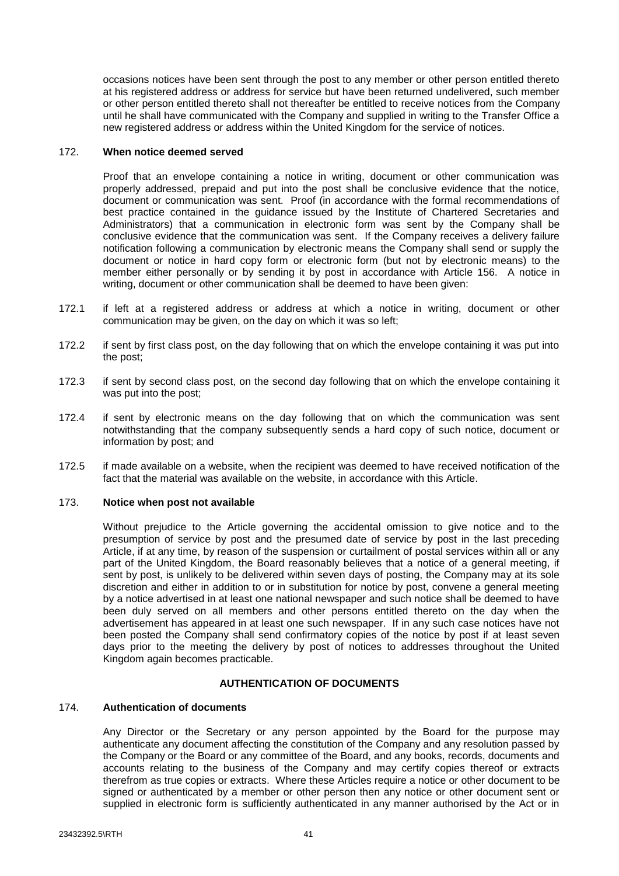<span id="page-47-0"></span>occasions notices have been sent through the post to any member or other person entitled thereto at his registered address or address for service but have been returned undelivered, such member or other person entitled thereto shall not thereafter be entitled to receive notices from the Company until he shall have communicated with the Company and supplied in writing to the Transfer Office a new registered address or address within the United Kingdom for the service of notices.

### 172. **When notice deemed served**

Proof that an envelope containing a notice in writing, document or other communication was properly addressed, prepaid and put into the post shall be conclusive evidence that the notice, document or communication was sent. Proof (in accordance with the formal recommendations of best practice contained in the guidance issued by the Institute of Chartered Secretaries and Administrators) that a communication in electronic form was sent by the Company shall be conclusive evidence that the communication was sent. If the Company receives a delivery failure notification following a communication by electronic means the Company shall send or supply the document or notice in hard copy form or electronic form (but not by electronic means) to the member either personally or by sending it by post in accordance with Article 156. A notice in writing, document or other communication shall be deemed to have been given:

- 172.1 if left at a registered address or address at which a notice in writing, document or other communication may be given, on the day on which it was so left;
- 172.2 if sent by first class post, on the day following that on which the envelope containing it was put into the post;
- 172.3 if sent by second class post, on the second day following that on which the envelope containing it was put into the post;
- 172.4 if sent by electronic means on the day following that on which the communication was sent notwithstanding that the company subsequently sends a hard copy of such notice, document or information by post; and
- 172.5 if made available on a website, when the recipient was deemed to have received notification of the fact that the material was available on the website, in accordance with this Article.

## 173. **Notice when post not available**

Without prejudice to the Article governing the accidental omission to give notice and to the presumption of service by post and the presumed date of service by post in the last preceding Article, if at any time, by reason of the suspension or curtailment of postal services within all or any part of the United Kingdom, the Board reasonably believes that a notice of a general meeting, if sent by post, is unlikely to be delivered within seven days of posting, the Company may at its sole discretion and either in addition to or in substitution for notice by post, convene a general meeting by a notice advertised in at least one national newspaper and such notice shall be deemed to have been duly served on all members and other persons entitled thereto on the day when the advertisement has appeared in at least one such newspaper. If in any such case notices have not been posted the Company shall send confirmatory copies of the notice by post if at least seven days prior to the meeting the delivery by post of notices to addresses throughout the United Kingdom again becomes practicable.

## **AUTHENTICATION OF DOCUMENTS**

#### 174. **Authentication of documents**

Any Director or the Secretary or any person appointed by the Board for the purpose may authenticate any document affecting the constitution of the Company and any resolution passed by the Company or the Board or any committee of the Board, and any books, records, documents and accounts relating to the business of the Company and may certify copies thereof or extracts therefrom as true copies or extracts. Where these Articles require a notice or other document to be signed or authenticated by a member or other person then any notice or other document sent or supplied in electronic form is sufficiently authenticated in any manner authorised by the Act or in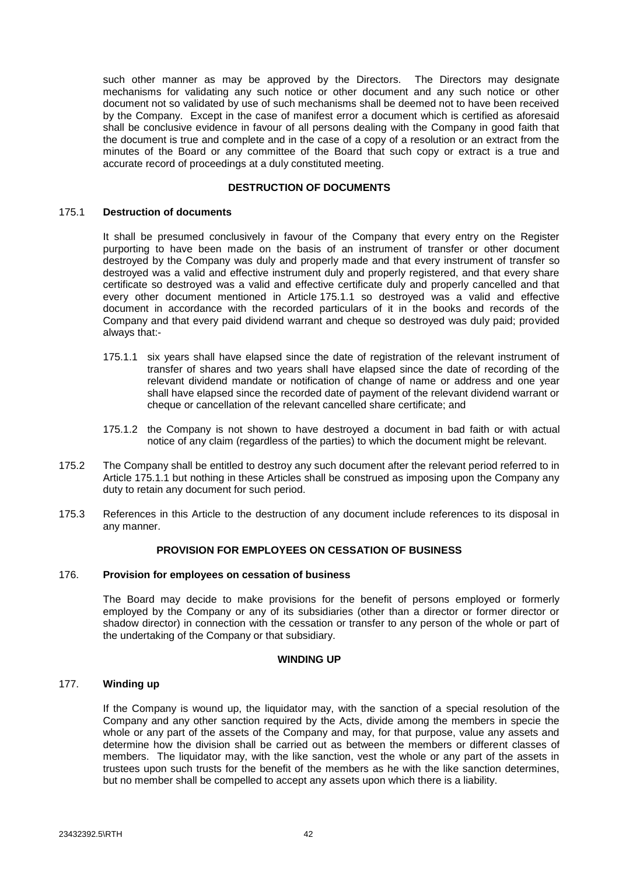<span id="page-48-0"></span>such other manner as may be approved by the Directors. The Directors may designate mechanisms for validating any such notice or other document and any such notice or other document not so validated by use of such mechanisms shall be deemed not to have been received by the Company. Except in the case of manifest error a document which is certified as aforesaid shall be conclusive evidence in favour of all persons dealing with the Company in good faith that the document is true and complete and in the case of a copy of a resolution or an extract from the minutes of the Board or any committee of the Board that such copy or extract is a true and accurate record of proceedings at a duly constituted meeting.

## **DESTRUCTION OF DOCUMENTS**

### 175.1 **Destruction of documents**

It shall be presumed conclusively in favour of the Company that every entry on the Register purporting to have been made on the basis of an instrument of transfer or other document destroyed by the Company was duly and properly made and that every instrument of transfer so destroyed was a valid and effective instrument duly and properly registered, and that every share certificate so destroyed was a valid and effective certificate duly and properly cancelled and that every other document mentioned in Article [175.1.1](#page-48-1) so destroyed was a valid and effective document in accordance with the recorded particulars of it in the books and records of the Company and that every paid dividend warrant and cheque so destroyed was duly paid; provided always that:-

- <span id="page-48-1"></span>175.1.1 six years shall have elapsed since the date of registration of the relevant instrument of transfer of shares and two years shall have elapsed since the date of recording of the relevant dividend mandate or notification of change of name or address and one year shall have elapsed since the recorded date of payment of the relevant dividend warrant or cheque or cancellation of the relevant cancelled share certificate; and
- 175.1.2 the Company is not shown to have destroyed a document in bad faith or with actual notice of any claim (regardless of the parties) to which the document might be relevant.
- 175.2 The Company shall be entitled to destroy any such document after the relevant period referred to in Article [175.1.1](#page-48-1) but nothing in these Articles shall be construed as imposing upon the Company any duty to retain any document for such period.
- 175.3 References in this Article to the destruction of any document include references to its disposal in any manner.

## **PROVISION FOR EMPLOYEES ON CESSATION OF BUSINESS**

#### 176. **Provision for employees on cessation of business**

The Board may decide to make provisions for the benefit of persons employed or formerly employed by the Company or any of its subsidiaries (other than a director or former director or shadow director) in connection with the cessation or transfer to any person of the whole or part of the undertaking of the Company or that subsidiary.

### **WINDING UP**

#### 177. **Winding up**

If the Company is wound up, the liquidator may, with the sanction of a special resolution of the Company and any other sanction required by the Acts, divide among the members in specie the whole or any part of the assets of the Company and may, for that purpose, value any assets and determine how the division shall be carried out as between the members or different classes of members. The liquidator may, with the like sanction, vest the whole or any part of the assets in trustees upon such trusts for the benefit of the members as he with the like sanction determines, but no member shall be compelled to accept any assets upon which there is a liability.